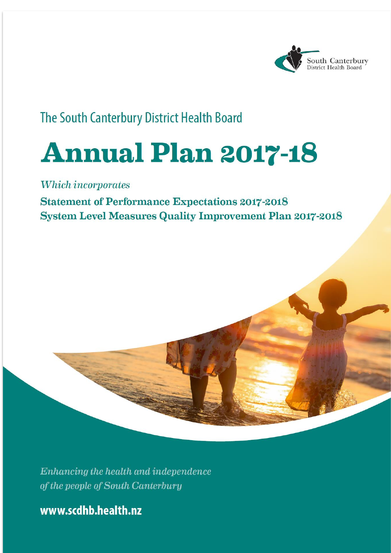

# The South Canterbury District Health Board

# **Annual Plan 2017-18**

Which incorporates

**Statement of Performance Expectations 2017-2018 System Level Measures Quality Improvement Plan 2017-2018** 

Enhancing the health and independence of the people of South Canterbury

www.scdhb.health.nz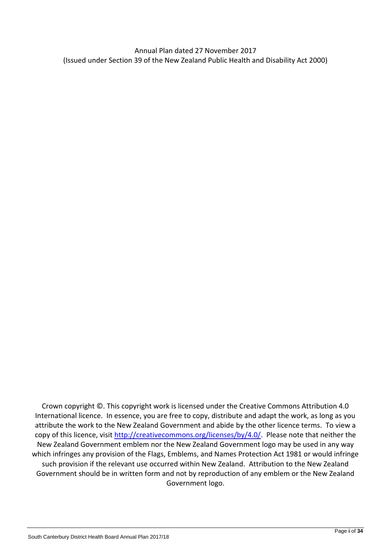Annual Plan dated 27 November 2017 (Issued under Section 39 of the New Zealand Public Health and Disability Act 2000)

Crown copyright ©. This copyright work is licensed under the Creative Commons Attribution 4.0 International licence. In essence, you are free to copy, distribute and adapt the work, as long as you attribute the work to the New Zealand Government and abide by the other licence terms. To view a copy of this licence, visit [http://creativecommons.org/licenses/by/4.0/.](http://creativecommons.org/licenses/by/4.0/) Please note that neither the New Zealand Government emblem nor the New Zealand Government logo may be used in any way which infringes any provision of the Flags, Emblems, and Names Protection Act 1981 or would infringe such provision if the relevant use occurred within New Zealand. Attribution to the New Zealand Government should be in written form and not by reproduction of any emblem or the New Zealand Government logo.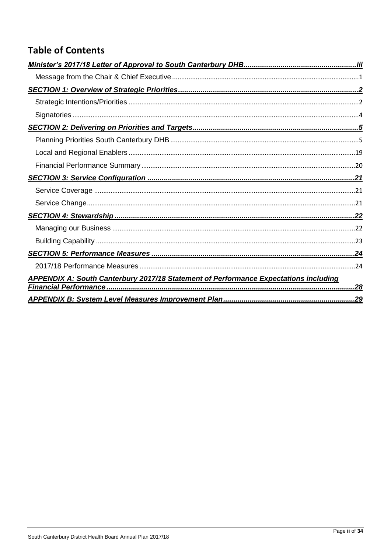### **Table of Contents**

| <b>APPENDIX A: South Canterbury 2017/18 Statement of Performance Expectations including</b> |  |
|---------------------------------------------------------------------------------------------|--|
|                                                                                             |  |
|                                                                                             |  |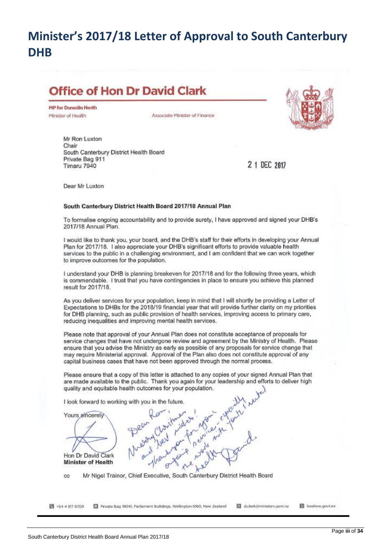# <span id="page-4-0"></span>**Minister's 2017/18 Letter of Approval to South Canterbury DHB**

# **Office of Hon Dr David Clark**

**MP for Dunedin North** Minister of Health

Associate Minister of Finance



Mr Ron Luxton Chair South Canterbury District Health Board Private Bag 911 Timaru 7940

2 1 DEC 2017

Dear Mr Luxton

#### South Canterbury District Health Board 2017/18 Annual Plan

To formalise ongoing accountability and to provide surety, I have approved and signed your DHB's 2017/18 Annual Plan.

I would like to thank you, your board, and the DHB's staff for their efforts in developing your Annual Plan for 2017/18. I also appreciate your DHB's significant efforts to provide valuable health services to the public in a challenging environment, and I am confident that we can work together to improve outcomes for the population.

I understand your DHB is planning breakeven for 2017/18 and for the following three years, which is commendable. I trust that you have contingencies in place to ensure you achieve this planned result for 2017/18.

As you deliver services for your population, keep in mind that I will shortly be providing a Letter of Expectations to DHBs for the 2018/19 financial year that will provide further clarity on my priorities for DHB planning, such as public provision of health services, improving access to primary care, reducing inequalities and improving mental health services.

Please note that approval of your Annual Plan does not constitute acceptance of proposals for service changes that have not undergone review and agreement by the Ministry of Health. Please ensure that you advise the Ministry as early as possible of any proposals for service change that may require Ministerial approval. Approval of the Plan also does not constitute approval of any capital business cases that have not been approved through the normal process.

Please ensure that a copy of this letter is attached to any copies of your signed Annual Plan that are made available to the public. Thank you again for your leadership and efforts to deliver high quality and equitable health outcomes for your population.



Mr Nigel Trainor, Chief Executive, South Canterbury District Health Board cc

图 +64 4 817 8709 Private Bag 18041, Parliament Buildings, Wellington 6160, New Zealand d.clark@ministers.govt.nz beehive.govt.nz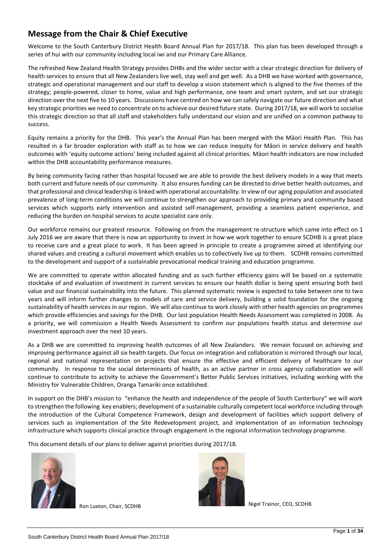### <span id="page-5-0"></span>**Message from the Chair & Chief Executive**

Welcome to the South Canterbury District Health Board Annual Plan for 2017/18. This plan has been developed through a series of hui with our community including local iwi and our Primary Care Alliance.

The refreshed New Zealand Health Strategy provides DHBs and the wider sector with a clear strategic direction for delivery of health services to ensure that all New Zealanders live well, stay well and get well. As a DHB we have worked with governance, strategic and operational management and our staff to develop a vision statement which is aligned to the five themes of the strategy; people-powered, closer to home, value and high performance, one team and smart system, and set our strategic direction over the next five to 10 years. Discussions have centred on how we can safely navigate our future direction and what key strategic priorities we need to concentrate on to achieve our desired future state. During 2017/18, we will work to socialise this strategic direction so that all staff and stakeholders fully understand our vision and are unified on a common pathway to success.

Equity remains a priority for the DHB. This year's the Annual Plan has been merged with the Māori Health Plan. This has resulted in a far broader exploration with staff as to how we can reduce inequity for Māori in service delivery and health outcomes with 'equity outcome actions' being included against all clinical priorities. Māori health indicators are now included within the DHB accountability performance measures.

By being community facing rather than hospital focused we are able to provide the best delivery models in a way that meets both current and future needs of our community. It also ensures funding can be directed to drive better health outcomes, and that professional and clinical leadership is linked with operational accountability. In view of our aging population and associated prevalence of long-term conditions we will continue to strengthen our approach to providing primary and community based services which supports early intervention and assisted self-management, providing a seamless patient experience, and reducing the burden on hospital services to acute specialist care only.

Our workforce remains our greatest resource. Following on from the management re-structure which came into effect on 1 July 2016 we are aware that there is now an opportunity to invest in how we work together to ensure SCDHB is a great place to receive care and a great place to work. It has been agreed in principle to create a programme aimed at identifying our shared values and creating a cultural movement which enables us to collectively live up to them. SCDHB remains committed to the development and support of a sustainable prevocational medical training and education programme.

We are committed to operate within allocated funding and as such further efficiency gains will be based on a systematic stocktake of and evaluation of investment in current services to ensure our health dollar is being spent ensuring both best value and our financial sustainability into the future. This planned systematic review is expected to take between one to two years and will inform further changes to models of care and service delivery, building a solid foundation for the ongoing sustainability of health services in our region. We will also continue to work closely with other health agencies on programmes which provide efficiencies and savings for the DHB. Our last population Health Needs Assessment was completed in 2008. As a priority, we will commission a Health Needs Assessment to confirm our populations health status and determine our investment approach over the next 10 years.

As a DHB we are committed to improving health outcomes of all New Zealanders. We remain focused on achieving and improving performance against all six health targets. Our focus on integration and collaboration is mirrored through our local, regional and national representation on projects that ensure the effective and efficient delivery of healthcare to our community. In response to the social determinants of health, as an active partner in cross agency collaboration we will continue to contribute to activity to achieve the Government's Better Public Services initiatives, including working with the Ministry for Vulnerable Children, Oranga Tamariki once established.

In support on the DHB's mission to "enhance the health and independence of the people of South Canterbury" we will work to strengthen the following key enablers; development of a sustainable culturally competent local workforce including through the introduction of the Cultural Competence Framework, design and development of facilities which support delivery of services such as implementation of the Site Redevelopment project, and implementation of an information technology infrastructure which supports clinical practice through engagement in the regional information technology programme.

This document details of our plans to deliver against priorities during 2017/18.





Ron Luxton, Chair, SCDHB Nigel Trainor, CEO, SCDHB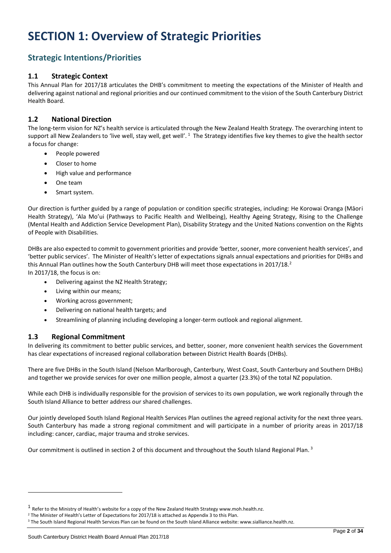# <span id="page-6-0"></span>**SECTION 1: Overview of Strategic Priorities**

### <span id="page-6-1"></span>**Strategic Intentions/Priorities**

#### **1.1 Strategic Context**

This Annual Plan for 2017/18 articulates the DHB's commitment to meeting the expectations of the Minister of Health and delivering against national and regional priorities and our continued commitment to the vision of the South Canterbury District Health Board.

#### **1.2 National Direction**

The long-term vision for NZ's health service is articulated through the New Zealand Health Strategy. The overarching intent to support all New Zealanders to 'live well, stay well, get well'.  $^1$  The Strategy identifies five key themes to give the health sector a focus for change:

- People powered
- Closer to home
- High value and performance
- One team
- Smart system.

Our direction is further guided by a range of population or condition specific strategies, including: He Korowai Oranga (Māori Health Strategy), 'Ala Mo'ui (Pathways to Pacific Health and Wellbeing), Healthy Ageing Strategy, Rising to the Challenge (Mental Health and Addiction Service Development Plan), Disability Strategy and the United Nations convention on the Rights of People with Disabilities.

DHBs are also expected to commit to government priorities and provide 'better, sooner, more convenient health services', and 'better public services'. The Minister of Health's letter of expectations signals annual expectations and priorities for DHBs and this Annual Plan outlines how the South Canterbury DHB will meet those expectations in 2017/18.<sup>2</sup> In 2017/18, the focus is on:

• Delivering against the NZ Health Strategy;

- Living within our means;
- Working across government;
- Delivering on national health targets; and
- Streamlining of planning including developing a longer-term outlook and regional alignment.

#### **1.3 Regional Commitment**

In delivering its commitment to better public services, and better, sooner, more convenient health services the Government has clear expectations of increased regional collaboration between District Health Boards (DHBs).

There are five DHBs in the South Island (Nelson Marlborough, Canterbury, West Coast, South Canterbury and Southern DHBs) and together we provide services for over one million people, almost a quarter (23.3%) of the total NZ population.

While each DHB is individually responsible for the provision of services to its own population, we work regionally through the South Island Alliance to better address our shared challenges.

Our jointly developed South Island Regional Health Services Plan outlines the agreed regional activity for the next three years. South Canterbury has made a strong regional commitment and will participate in a number of priority areas in 2017/18 including: cancer, cardiac, major trauma and stroke services.

Our commitment is outlined in section 2 of this document and throughout the South Island Regional Plan.<sup>3</sup>

 $\overline{a}$ 

<sup>&</sup>lt;sup>1</sup> Refer to the Ministry of Health's website for a copy of the New Zealand Health Strategy www.moh.health.nz.

<sup>&</sup>lt;sup>2</sup> The Minister of Health's Letter of Expectations for 2017/18 is attached as Appendix 3 to this Plan.

<sup>&</sup>lt;sup>3</sup> The South Island Regional Health Services Plan can be found on the South Island Alliance website: www.sialliance.health.nz.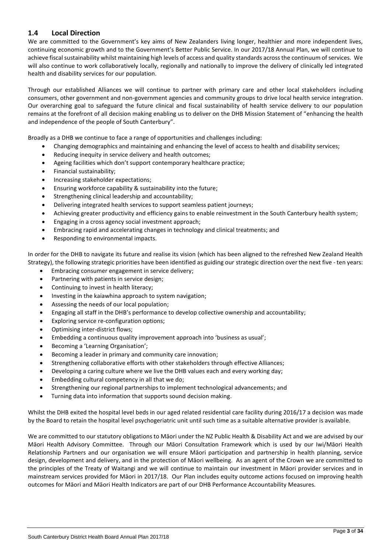#### **1.4 Local Direction**

We are committed to the Government's key aims of New Zealanders living longer, healthier and more independent lives, continuing economic growth and to the Government's Better Public Service. In our 2017/18 Annual Plan, we will continue to achieve fiscal sustainability whilst maintaining high levels of access and quality standards across the continuum of services. We will also continue to work collaboratively locally, regionally and nationally to improve the delivery of clinically led integrated health and disability services for our population.

Through our established Alliances we will continue to partner with primary care and other local stakeholders including consumers, other government and non-government agencies and community groups to drive local health service integration. Our overarching goal to safeguard the future clinical and fiscal sustainability of health service delivery to our population remains at the forefront of all decision making enabling us to deliver on the DHB Mission Statement of "enhancing the health and independence of the people of South Canterbury".

Broadly as a DHB we continue to face a range of opportunities and challenges including:

- Changing demographics and maintaining and enhancing the level of access to health and disability services;
- Reducing inequity in service delivery and health outcomes;
- Ageing facilities which don't support contemporary healthcare practice;
- Financial sustainability;
- Increasing stakeholder expectations;
- Ensuring workforce capability & sustainability into the future;
- Strengthening clinical leadership and accountability;
- Delivering integrated health services to support seamless patient journeys;
- Achieving greater productivity and efficiency gains to enable reinvestment in the South Canterbury health system;
- Engaging in a cross agency social investment approach;
- Embracing rapid and accelerating changes in technology and clinical treatments; and
- Responding to environmental impacts.

In order for the DHB to navigate its future and realise its vision (which has been aligned to the refreshed New Zealand Health Strategy), the following strategic priorities have been identified as guiding our strategic direction over the next five - ten years:

- Embracing consumer engagement in service delivery;
- Partnering with patients in service design;
- Continuing to invest in health literacy;
- Investing in the kaiawhina approach to system navigation;
- Assessing the needs of our local population;
- Engaging all staff in the DHB's performance to develop collective ownership and accountability;
- Exploring service re-configuration options;
- Optimising inter-district flows;
- Embedding a continuous quality improvement approach into 'business as usual';
- Becoming a 'Learning Organisation';
- Becoming a leader in primary and community care innovation;
- Strengthening collaborative efforts with other stakeholders through effective Alliances;
- Developing a caring culture where we live the DHB values each and every working day;
- Embedding cultural competency in all that we do;
- Strengthening our regional partnerships to implement technological advancements; and
- Turning data into information that supports sound decision making.

Whilst the DHB exited the hospital level beds in our aged related residential care facility during 2016/17 a decision was made by the Board to retain the hospital level psychogeriatric unit until such time as a suitable alternative provider is available.

We are committed to our statutory obligations to Māori under the NZ Public Health & Disability Act and we are advised by our Māori Health Advisory Committee. Through our Māori Consultation Framework which is used by our Iwi/Māori Health Relationship Partners and our organisation we will ensure Māori participation and partnership in health planning, service design, development and delivery, and in the protection of Māori wellbeing. As an agent of the Crown we are committed to the principles of the Treaty of Waitangi and we will continue to maintain our investment in Māori provider services and in mainstream services provided for Māori in 2017/18. Our Plan includes equity outcome actions focused on improving health outcomes for Māori and Māori Health Indicators are part of our DHB Performance Accountability Measures.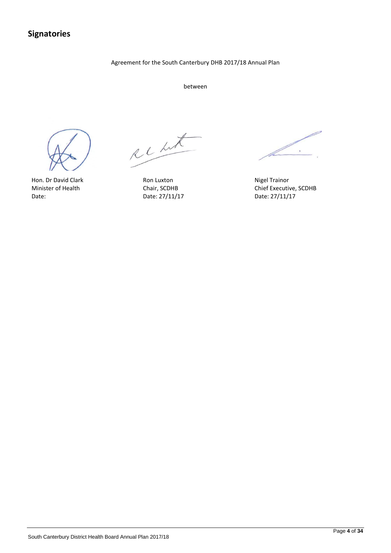### <span id="page-8-0"></span>**Signatories**

#### Agreement for the South Canterbury DHB 2017/18 Annual Plan

between



Hon. Dr David Clark **Ron Luxton** Ron Luxton Nigel Trainor

Recht

Date: 27/11/17

 $\ddot{\phantom{0}}$ þ.

Minister of Health Chair, SCDHB Chair, SCDHB Chief Executive, SCDHB Date: 27/11/17 Date: 27/11/17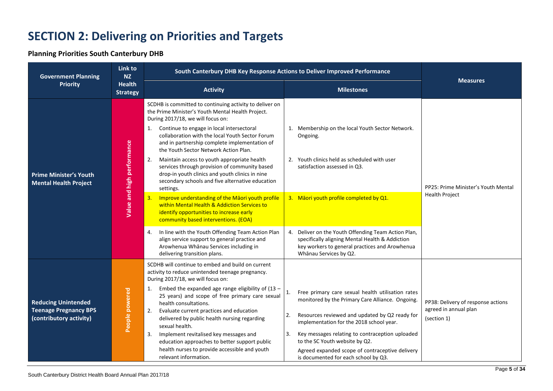# **SECTION 2: Delivering on Priorities and Targets**

#### **Planning Priorities South Canterbury DHB**

<span id="page-9-1"></span><span id="page-9-0"></span>

| <b>Government Planning</b>                                                            | Link to<br><b>NZ</b>             | South Canterbury DHB Key Response Actions to Deliver Improved Performance                                                                                                                                                                                                                                                                                                                                                                                                                                                                                                                                                                                                                                                                                                                                                                                                                                                       |                                                                                                                                                                                                                                                                                                                                                                                                                                           |                                                                            |  |
|---------------------------------------------------------------------------------------|----------------------------------|---------------------------------------------------------------------------------------------------------------------------------------------------------------------------------------------------------------------------------------------------------------------------------------------------------------------------------------------------------------------------------------------------------------------------------------------------------------------------------------------------------------------------------------------------------------------------------------------------------------------------------------------------------------------------------------------------------------------------------------------------------------------------------------------------------------------------------------------------------------------------------------------------------------------------------|-------------------------------------------------------------------------------------------------------------------------------------------------------------------------------------------------------------------------------------------------------------------------------------------------------------------------------------------------------------------------------------------------------------------------------------------|----------------------------------------------------------------------------|--|
| <b>Priority</b>                                                                       | <b>Health</b><br><b>Strategy</b> | <b>Activity</b><br><b>Milestones</b>                                                                                                                                                                                                                                                                                                                                                                                                                                                                                                                                                                                                                                                                                                                                                                                                                                                                                            |                                                                                                                                                                                                                                                                                                                                                                                                                                           | <b>Measures</b>                                                            |  |
| <b>Prime Minister's Youth</b><br><b>Mental Health Project</b>                         | Value and high performance       | SCDHB is committed to continuing activity to deliver on<br>the Prime Minister's Youth Mental Health Project.<br>During 2017/18, we will focus on:<br>Continue to engage in local intersectoral<br>1.<br>collaboration with the local Youth Sector Forum<br>and in partnership complete implementation of<br>the Youth Sector Network Action Plan.<br>Maintain access to youth appropriate health<br>2.<br>services through provision of community based<br>drop-in youth clinics and youth clinics in nine<br>secondary schools and five alternative education<br>settings.<br>Improve understanding of the Maori youth profile<br>3.<br>within Mental Health & Addiction Services to<br>identify opportunities to increase early<br>community based interventions. (EOA)<br>In line with the Youth Offending Team Action Plan<br>4.<br>align service support to general practice and<br>Arowhenua Whānau Services including in | 1. Membership on the local Youth Sector Network.<br>Ongoing.<br>2. Youth clinics held as scheduled with user<br>satisfaction assessed in Q3.<br>3. Māori youth profile completed by Q1.<br>4. Deliver on the Youth Offending Team Action Plan,<br>specifically aligning Mental Health & Addiction<br>key workers to general practices and Arowhenua                                                                                       | PP25: Prime Minister's Youth Mental<br><b>Health Project</b>               |  |
| <b>Reducing Unintended</b><br><b>Teenage Pregnancy BPS</b><br>(contributory activity) | People powered                   | delivering transition plans.<br>SCDHB will continue to embed and build on current<br>activity to reduce unintended teenage pregnancy.<br>During 2017/18, we will focus on:<br>Embed the expanded age range eligibility of $(13 -$<br>1.<br>25 years) and scope of free primary care sexual<br>health consultations.<br>2.<br>Evaluate current practices and education<br>delivered by public health nursing regarding<br>sexual health.<br>Implement revitalised key messages and<br>3.<br>education approaches to better support public<br>health nurses to provide accessible and youth<br>relevant information.                                                                                                                                                                                                                                                                                                              | Whānau Services by Q2.<br>Free primary care sexual health utilisation rates<br>$\mathbf{1}$<br>monitored by the Primary Care Alliance. Ongoing.<br>Resources reviewed and updated by Q2 ready for<br>2.<br>implementation for the 2018 school year.<br>Key messages relating to contraception uploaded<br>3.<br>to the SC Youth website by Q2.<br>Agreed expanded scope of contraceptive delivery<br>is documented for each school by Q3. | PP38: Delivery of response actions<br>agreed in annual plan<br>(section 1) |  |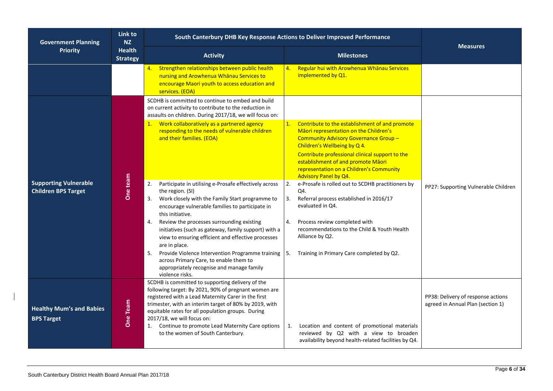| <b>Government Planning</b>                                 | Link to<br><b>NZ</b>             | South Canterbury DHB Key Response Actions to Deliver Improved Performance                                                                                                                                                                                                                                    |                                                                                                                                                                         |                                                                         |
|------------------------------------------------------------|----------------------------------|--------------------------------------------------------------------------------------------------------------------------------------------------------------------------------------------------------------------------------------------------------------------------------------------------------------|-------------------------------------------------------------------------------------------------------------------------------------------------------------------------|-------------------------------------------------------------------------|
| <b>Priority</b>                                            | <b>Health</b><br><b>Strategy</b> | <b>Activity</b>                                                                                                                                                                                                                                                                                              | <b>Milestones</b>                                                                                                                                                       | <b>Measures</b>                                                         |
|                                                            |                                  | Strengthen relationships between public health<br>4.<br>nursing and Arowhenua Whanau Services to<br>encourage Maori youth to access education and<br>services. (EOA)                                                                                                                                         | Regular hui with Arowhenua Whanau Services<br>4.<br>implemented by Q1.                                                                                                  |                                                                         |
|                                                            |                                  | SCDHB is committed to continue to embed and build<br>on current activity to contribute to the reduction in<br>assaults on children. During 2017/18, we will focus on:                                                                                                                                        |                                                                                                                                                                         |                                                                         |
|                                                            |                                  | 1. Work collaboratively as a partnered agency<br>responding to the needs of vulnerable children<br>and their families. (EOA)                                                                                                                                                                                 | Contribute to the establishment of and promote<br>1.<br>Māori representation on the Children's<br>Community Advisory Governance Group -<br>Children's Wellbeing by Q 4. |                                                                         |
|                                                            |                                  |                                                                                                                                                                                                                                                                                                              | Contribute professional clinical support to the<br>establishment of and promote Maori<br>representation on a Children's Community<br>Advisory Panel by Q4.              |                                                                         |
| <b>Supporting Vulnerable</b><br><b>Children BPS Target</b> | One team                         | Participate in utilising e-Prosafe effectively across<br>2.<br>the region. (SI)<br>Work closely with the Family Start programme to<br>3.<br>encourage vulnerable families to participate in<br>this initiative.                                                                                              | 2.<br>e-Prosafe is rolled out to SCDHB practitioners by<br>Q4.<br>Referral process established in 2016/17<br>3.<br>evaluated in Q4.                                     | PP27: Supporting Vulnerable Children                                    |
|                                                            |                                  | Review the processes surrounding existing<br>4.<br>initiatives (such as gateway, family support) with a<br>view to ensuring efficient and effective processes<br>are in place.                                                                                                                               | 4.<br>Process review completed with<br>recommendations to the Child & Youth Health<br>Alliance by Q2.                                                                   |                                                                         |
|                                                            |                                  | Provide Violence Intervention Programme training<br>5.<br>across Primary Care, to enable them to<br>appropriately recognise and manage family<br>violence risks.                                                                                                                                             | Training in Primary Care completed by Q2.<br>5.                                                                                                                         |                                                                         |
| <b>Healthy Mum's and Babies</b><br><b>BPS Target</b>       | One Team                         | SCDHB is committed to supporting delivery of the<br>following target: By 2021, 90% of pregnant women are<br>registered with a Lead Maternity Carer in the first<br>trimester, with an interim target of 80% by 2019, with<br>equitable rates for all population groups. During<br>2017/18, we will focus on: |                                                                                                                                                                         | PP38: Delivery of response actions<br>agreed in Annual Plan (section 1) |
|                                                            |                                  | 1. Continue to promote Lead Maternity Care options<br>to the women of South Canterbury.                                                                                                                                                                                                                      | Location and content of promotional materials<br>1.<br>reviewed by Q2 with a view to broaden<br>availability beyond health-related facilities by Q4.                    |                                                                         |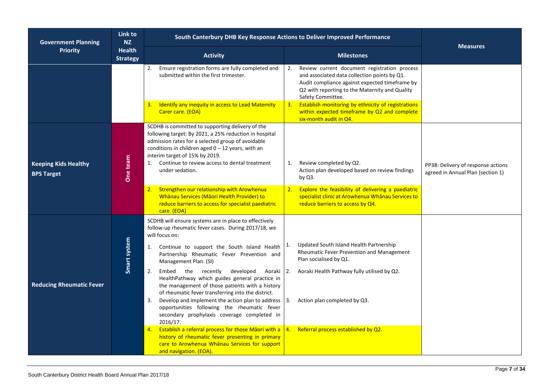| <b>Government Planning</b>                       | Link to<br>NZ                    | South Canterbury DHB Key Response Actions to Deliver Improved Performance                                                                                                                                                                                                                                                                                                                                                                                                                                                                                                                                                                    |                                                                                                                                                                                                                                |                                                                         |  |
|--------------------------------------------------|----------------------------------|----------------------------------------------------------------------------------------------------------------------------------------------------------------------------------------------------------------------------------------------------------------------------------------------------------------------------------------------------------------------------------------------------------------------------------------------------------------------------------------------------------------------------------------------------------------------------------------------------------------------------------------------|--------------------------------------------------------------------------------------------------------------------------------------------------------------------------------------------------------------------------------|-------------------------------------------------------------------------|--|
| <b>Priority</b>                                  | <b>Health</b><br><b>Strategy</b> | <b>Activity</b>                                                                                                                                                                                                                                                                                                                                                                                                                                                                                                                                                                                                                              | <b>Milestones</b>                                                                                                                                                                                                              | <b>Measures</b>                                                         |  |
|                                                  |                                  | Ensure registration forms are fully completed and<br>2.<br>submitted within the first trimester.                                                                                                                                                                                                                                                                                                                                                                                                                                                                                                                                             | Review current document registration process<br>2.<br>and associated data collection points by Q1.<br>Audit compliance against expected timeframe by<br>Q2 with reporting to the Maternity and Quality<br>Safety Committee.    |                                                                         |  |
|                                                  |                                  | Identify any inequity in access to Lead Maternity<br>3.<br>Carer care. (EOA)                                                                                                                                                                                                                                                                                                                                                                                                                                                                                                                                                                 | Establish monitoring by ethnicity of registrations<br>3.<br>within expected timeframe by Q2 and complete<br>six-month audit in Q4.                                                                                             |                                                                         |  |
| <b>Keeping Kids Healthy</b><br><b>BPS Target</b> | One team                         | SCDHB is committed to supporting delivery of the<br>following target: By 2021, a 25% reduction in hospital<br>admission rates for a selected group of avoidable<br>conditions in children aged $0 - 12$ years, with an<br>interim target of 15% by 2019.<br>Continue to review access to dental treatment<br>1.<br>under sedation.                                                                                                                                                                                                                                                                                                           | Review completed by Q2.<br>1.<br>Action plan developed based on review findings<br>by Q3.                                                                                                                                      | PP38: Delivery of response actions<br>agreed in Annual Plan (section 1) |  |
|                                                  |                                  | Strengthen our relationship with Arowhenua<br>2.<br>Whānau Services (Māori Health Provider) to<br>reduce barriers to access for specialist paediatric<br>care. (EOA)                                                                                                                                                                                                                                                                                                                                                                                                                                                                         | 2. Explore the feasibility of delivering a paediatric<br>specialist clinic at Arowhenua Whanau Services to<br>reduce barriers to access by Q4.                                                                                 |                                                                         |  |
| <b>Reducing Rheumatic Fever</b>                  | Smart system                     | SCDHB will ensure systems are in place to effectively<br>follow-up rheumatic fever cases. During 2017/18, we<br>will focus on:<br>Continue to support the South Island Health<br>1.<br>Partnership Rheumatic Fever Prevention and<br>Management Plan. (SI)<br>2.<br>Embed the recently<br>developed<br>Aoraki<br>HealthPathway which guides general practice in<br>the management of those patients with a history<br>of rheumatic fever transferring into the district.<br>3.<br>Develop and implement the action plan to address<br>opportunities following the rheumatic fever<br>secondary prophylaxis coverage completed in<br>2016/17. | Updated South Island Health Partnership<br>1.<br>Rheumatic Fever Prevention and Management<br>Plan socialised by Q1.<br>Aoraki Health Pathway fully utilised by Q2.<br>$\overline{2}$ .<br>Action plan completed by Q3.<br>13. |                                                                         |  |
|                                                  |                                  | Establish a referral process for those Māori with a $\vert 4.$<br>4.<br>history of rheumatic fever presenting in primary<br>care to Arowhenua Whanau Services for support<br>and navigation. (EOA).                                                                                                                                                                                                                                                                                                                                                                                                                                          | Referral process established by Q2.                                                                                                                                                                                            |                                                                         |  |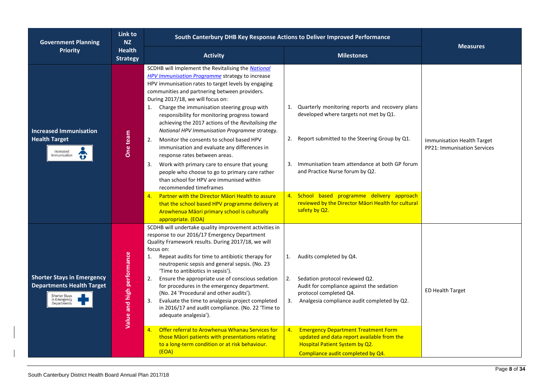| <b>Government Planning</b>                                                                                                   | Link to<br><b>NZ</b>             | South Canterbury DHB Key Response Actions to Deliver Improved Performance                                                                                                                                                                                                                                                                                                                                                                                                                                                                                                                                                                                                                                                                                                                                                                                                                               |                                                                                                                                                                                                                                                                                                                                              |                                                           |
|------------------------------------------------------------------------------------------------------------------------------|----------------------------------|---------------------------------------------------------------------------------------------------------------------------------------------------------------------------------------------------------------------------------------------------------------------------------------------------------------------------------------------------------------------------------------------------------------------------------------------------------------------------------------------------------------------------------------------------------------------------------------------------------------------------------------------------------------------------------------------------------------------------------------------------------------------------------------------------------------------------------------------------------------------------------------------------------|----------------------------------------------------------------------------------------------------------------------------------------------------------------------------------------------------------------------------------------------------------------------------------------------------------------------------------------------|-----------------------------------------------------------|
| <b>Priority</b>                                                                                                              | <b>Health</b><br><b>Strategy</b> | <b>Activity</b>                                                                                                                                                                                                                                                                                                                                                                                                                                                                                                                                                                                                                                                                                                                                                                                                                                                                                         | <b>Milestones</b>                                                                                                                                                                                                                                                                                                                            | <b>Measures</b>                                           |
| <b>Increased Immunisation</b><br><b>Health Target</b><br>Increased<br>$\hat{\bm{v}}$<br>mmunisation                          | One team                         | SCDHB will Implement the Revitalising the National<br><b>HPV Immunisation Programme</b> strategy to increase<br>HPV immunisation rates to target levels by engaging<br>communities and partnering between providers.<br>During 2017/18, we will focus on:<br>1. Charge the immunisation steering group with<br>responsibility for monitoring progress toward<br>achieving the 2017 actions of the Revitalising the<br>National HPV Immunisation Programme strategy.<br>Monitor the consents to school based HPV<br>2.<br>immunisation and evaluate any differences in<br>response rates between areas.<br>Work with primary care to ensure that young<br>3.<br>people who choose to go to primary care rather<br>than school for HPV are immunised within<br>recommended timeframes<br><b>Partner with the Director Maori Health to assure</b><br>4.<br>that the school based HPV programme delivery at | Quarterly monitoring reports and recovery plans<br>developed where targets not met by Q1.<br>2. Report submitted to the Steering Group by Q1.<br>Immunisation team attendance at both GP forum<br>3.<br>and Practice Nurse forum by Q2.<br>4. School based programme delivery approach<br>reviewed by the Director Maori Health for cultural | Immunisation Health Target<br>PP21: Immunisation Services |
| <b>Shorter Stays in Emergency</b><br><b>Departments Health Target</b><br><b>Shorter Stays</b><br>in Emergency<br>Departments | Value and high performance       | Arowhenua Māori primary school is culturally<br>appropriate. (EOA)<br>SCDHB will undertake quality improvement activities in<br>response to our 2016/17 Emergency Department<br>Quality Framework results. During 2017/18, we will<br>focus on:<br>Repeat audits for time to antibiotic therapy for<br>1.<br>neutropenic sepsis and general sepsis. (No. 23<br>'Time to antibiotics in sepsis').<br>Ensure the appropriate use of conscious sedation<br>2.<br>for procedures in the emergency department.<br>(No. 24 'Procedural and other audits').<br>3.<br>Evaluate the time to analgesia project completed<br>in 2016/17 and audit compliance. (No. 22 'Time to<br>adequate analgesia').                                                                                                                                                                                                            | safety by Q2.<br>Audits completed by Q4.<br>1.<br>Sedation protocol reviewed Q2.<br>2.<br>Audit for compliance against the sedation<br>protocol completed Q4.<br>3. Analgesia compliance audit completed by Q2.                                                                                                                              | <b>ED Health Target</b>                                   |
|                                                                                                                              |                                  | Offer referral to Arowhenua Whanau Services for<br>4.<br>those Māori patients with presentations relating<br>to a long-term condition or at risk behaviour.<br>(EOA)                                                                                                                                                                                                                                                                                                                                                                                                                                                                                                                                                                                                                                                                                                                                    | <b>Emergency Department Treatment Form</b><br>4.<br>updated and data report available from the<br>Hospital Patient System by Q2.<br>Compliance audit completed by Q4.                                                                                                                                                                        |                                                           |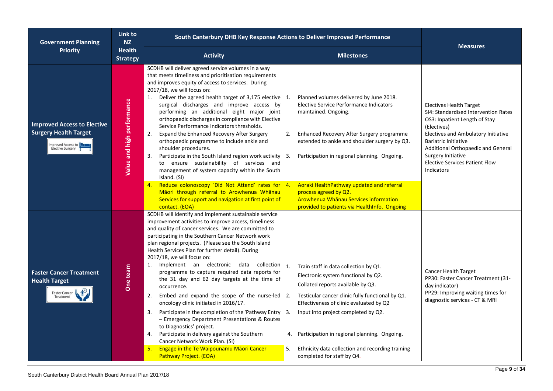| <b>Government Planning</b>                                                                                   | Link to<br><b>NZ</b>                                                     | South Canterbury DHB Key Response Actions to Deliver Improved Performance                                                                                                                                                                                                                                                                                                                                                                                                                                                                                                                                                                                                                                                                                                                                                                                                                                                                             |                                                                                                                                                                                                                                                                                                                                                                                                                                                                        |                                                                                                                                                                                                                                                                                                                 |
|--------------------------------------------------------------------------------------------------------------|--------------------------------------------------------------------------|-------------------------------------------------------------------------------------------------------------------------------------------------------------------------------------------------------------------------------------------------------------------------------------------------------------------------------------------------------------------------------------------------------------------------------------------------------------------------------------------------------------------------------------------------------------------------------------------------------------------------------------------------------------------------------------------------------------------------------------------------------------------------------------------------------------------------------------------------------------------------------------------------------------------------------------------------------|------------------------------------------------------------------------------------------------------------------------------------------------------------------------------------------------------------------------------------------------------------------------------------------------------------------------------------------------------------------------------------------------------------------------------------------------------------------------|-----------------------------------------------------------------------------------------------------------------------------------------------------------------------------------------------------------------------------------------------------------------------------------------------------------------|
| <b>Priority</b>                                                                                              | <b>Health</b><br><b>Activity</b><br><b>Milestones</b><br><b>Strategy</b> |                                                                                                                                                                                                                                                                                                                                                                                                                                                                                                                                                                                                                                                                                                                                                                                                                                                                                                                                                       |                                                                                                                                                                                                                                                                                                                                                                                                                                                                        | <b>Measures</b>                                                                                                                                                                                                                                                                                                 |
| <b>Improved Access to Elective</b><br><b>Surgery Health Target</b><br>Improved Access to<br>Elective Surgery | Value and high performance                                               | SCDHB will deliver agreed service volumes in a way<br>that meets timeliness and prioritisation requirements<br>and improves equity of access to services. During<br>2017/18, we will focus on:<br>1. Deliver the agreed health target of 3,175 elective<br>surgical discharges and improve access by<br>performing an additional eight major joint<br>orthopaedic discharges in compliance with Elective<br>Service Performance Indicators thresholds.<br>Expand the Enhanced Recovery After Surgery<br>2.<br>orthopaedic programme to include ankle and<br>shoulder procedures.<br>Participate in the South Island region work activity<br>3.<br>to ensure sustainability of services and<br>management of system capacity within the South<br>Island. (SI)<br>Reduce colonoscopy 'Did Not Attend' rates for<br>4.<br>Māori through referral to Arowhenua Whānau<br>Services for support and navigation at first point of<br>contact. (EOA)          | Planned volumes delivered by June 2018.<br>$\vert$ 1.<br>Elective Service Performance Indicators<br>maintained. Ongoing.<br>Enhanced Recovery After Surgery programme<br>2.<br>extended to ankle and shoulder surgery by Q3.<br>$\vert 3. \vert$<br>Participation in regional planning. Ongoing.<br>Aoraki HealthPathway updated and referral<br> 4.<br>process agreed by Q2.<br>Arowhenua Whanau Services information<br>provided to patients via HealthInfo. Ongoing | <b>Electives Health Target</b><br>SI4: Standardised Intervention Rates<br>OS3: Inpatient Length of Stay<br>(Electives)<br>Electives and Ambulatory Initiative<br><b>Bariatric Initiative</b><br>Additional Orthopaedic and General<br>Surgery Initiative<br><b>Elective Services Patient Flow</b><br>Indicators |
| <b>Faster Cancer Treatment</b><br><b>Health Target</b><br>Faster Cancer                                      | One team                                                                 | SCDHB will identify and implement sustainable service<br>improvement activities to improve access, timeliness<br>and quality of cancer services. We are committed to<br>participating in the Southern Cancer Network work<br>plan regional projects. (Please see the South Island<br>Health Services Plan for further detail). During<br>2017/18, we will focus on:<br>1. Implement an electronic data collection<br>programme to capture required data reports for<br>the 31 day and 62 day targets at the time of<br>occurrence.<br>Embed and expand the scope of the nurse-led<br>2.<br>oncology clinic initiated in 2016/17.<br>Participate in the completion of the 'Pathway Entry<br>3.<br>- Emergency Department Presentations & Routes<br>to Diagnostics' project.<br>Participate in delivery against the Southern<br>4.<br>Cancer Network Work Plan. (SI)<br><b>Engage in the Te Waipounamu Maori Cancer</b><br>5.<br>Pathway Project. (EOA) | $\mathbf{1}$ .<br>Train staff in data collection by Q1.<br>Electronic system functional by Q2.<br>Collated reports available by Q3.<br>Testicular cancer clinic fully functional by Q1.<br> 2.<br>Effectiveness of clinic evaluated by Q2<br>Input into project completed by Q2.<br>Participation in regional planning. Ongoing.<br>4.<br>5.<br>Ethnicity data collection and recording training<br>completed for staff by Q4.                                         | Cancer Health Target<br>PP30: Faster Cancer Treatment (31-<br>day indicator)<br>PP29: Improving waiting times for<br>diagnostic services - CT & MRI                                                                                                                                                             |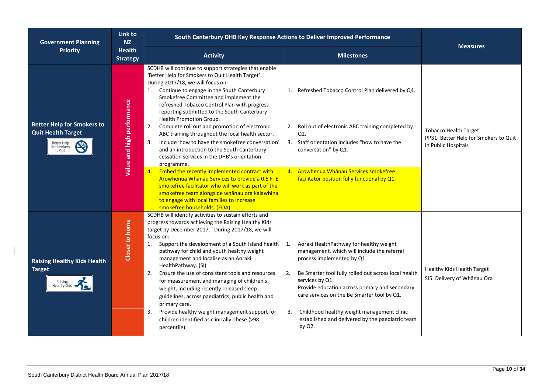| <b>Government Planning</b>                                                                              | Link to<br><b>NZ</b>             | South Canterbury DHB Key Response Actions to Deliver Improved Performance                                                                                                                                                                                                                                                                                                                                                                                                                                                                                                                                                                                                                                                                                                                                                                                                                                                                      |                                                                                                                                                                                                                                                                                                                                                                                                                              |                                                                                              |
|---------------------------------------------------------------------------------------------------------|----------------------------------|------------------------------------------------------------------------------------------------------------------------------------------------------------------------------------------------------------------------------------------------------------------------------------------------------------------------------------------------------------------------------------------------------------------------------------------------------------------------------------------------------------------------------------------------------------------------------------------------------------------------------------------------------------------------------------------------------------------------------------------------------------------------------------------------------------------------------------------------------------------------------------------------------------------------------------------------|------------------------------------------------------------------------------------------------------------------------------------------------------------------------------------------------------------------------------------------------------------------------------------------------------------------------------------------------------------------------------------------------------------------------------|----------------------------------------------------------------------------------------------|
| <b>Priority</b>                                                                                         | <b>Health</b><br><b>Strategy</b> | <b>Activity</b>                                                                                                                                                                                                                                                                                                                                                                                                                                                                                                                                                                                                                                                                                                                                                                                                                                                                                                                                | <b>Milestones</b>                                                                                                                                                                                                                                                                                                                                                                                                            | <b>Measures</b>                                                                              |
| <b>Better Help for Smokers to</b><br><b>Quit Health Target</b><br>Better Help<br>for Smokers<br>to Quit | Value and high performance       | SCDHB will continue to support strategies that enable<br>'Better Help for Smokers to Quit Health Target'.<br>During 2017/18, we will focus on:<br>1. Continue to engage in the South Canterbury<br>Smokefree Committee and implement the<br>refreshed Tobacco Control Plan with progress<br>reporting submitted to the South Canterbury<br>Health Promotion Group.<br>Complete roll out and promotion of electronic<br>2.<br>ABC training throughout the local health sector.<br>Include 'how to have the smokefree conversation'<br>3.<br>and an introduction to the South Canterbury<br>cessation services in the DHB's orientation<br>programme.<br>Embed the recently implemented contract with<br>4.<br>Arowhenua Whanau Services to provide a 0.5 FTE<br>smokefree facilitator who will work as part of the<br>smokefree team alongside whanau ora kaiawhina<br>to engage with local families to increase<br>smokefree households. (EOA) | Refreshed Tobacco Control Plan delivered by Q4.<br>1.<br>Roll out of electronic ABC training completed by<br>2.<br>Q2.<br>Staff orientation includes "how to have the<br>3.<br>conversation" by Q1.<br>4. Arowhenua Whanau Services smokefree<br>facilitator position fully functional by Q1.                                                                                                                                | <b>Tobacco Health Target</b><br>PP31: Better Help for Smokers to Quit<br>in Public Hospitals |
| <b>Raising Healthy Kids Health</b><br><b>Target</b><br>Healthy Kids                                     | Closer to home                   | SCDHB will identify activities to sustain efforts and<br>progress towards achieving the Raising Healthy Kids<br>target by December 2017. During 2017/18, we will<br>focus on:<br>Support the development of a South Island health<br>1.<br>pathway for child and youth healthy weight<br>management and localise as an Aoraki<br>HealthPathway. (SI)<br>Ensure the use of consistent tools and resources<br>2.<br>for measurement and managing of children's<br>weight, including recently released sleep<br>guidelines, across paediatrics, public health and<br>primary care.<br>Provide healthy weight management support for<br>3.<br>children identified as clinically obese (>98<br>percentile).                                                                                                                                                                                                                                         | Aoraki HealthPathway for healthy weight<br>1.<br>management, which will include the referral<br>process implemented by Q1<br>Be Smarter tool fully rolled out across local health<br>2.<br>services by Q1<br>Provide education across primary and secondary<br>care services on the Be Smarter tool by Q1.<br>Childhood healthy weight management clinic<br>3.<br>established and delivered by the paediatric team<br>by Q2. | Healthy Kids Health Target<br>SI5: Delivery of Whānau Ora                                    |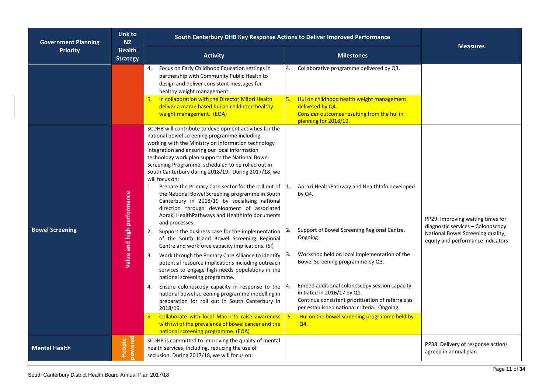| <b>Government Planning</b> | Link to<br><b>NZ</b>             | South Canterbury DHB Key Response Actions to Deliver Improved Performance                                                                                                                                                                                                                                                                                                                                                                                                                                                                                                                                                                                                                                                                                                                                                                                                                                                                                                                                                                                                                                                                                                                                                                                                                                                                                                                    |                                                                                                                                                                                                                                                                                                                                                                                                                                                                            |                                                                                                                                                  |  |
|----------------------------|----------------------------------|----------------------------------------------------------------------------------------------------------------------------------------------------------------------------------------------------------------------------------------------------------------------------------------------------------------------------------------------------------------------------------------------------------------------------------------------------------------------------------------------------------------------------------------------------------------------------------------------------------------------------------------------------------------------------------------------------------------------------------------------------------------------------------------------------------------------------------------------------------------------------------------------------------------------------------------------------------------------------------------------------------------------------------------------------------------------------------------------------------------------------------------------------------------------------------------------------------------------------------------------------------------------------------------------------------------------------------------------------------------------------------------------|----------------------------------------------------------------------------------------------------------------------------------------------------------------------------------------------------------------------------------------------------------------------------------------------------------------------------------------------------------------------------------------------------------------------------------------------------------------------------|--------------------------------------------------------------------------------------------------------------------------------------------------|--|
| <b>Priority</b>            | <b>Health</b><br><b>Strategy</b> | <b>Activity</b>                                                                                                                                                                                                                                                                                                                                                                                                                                                                                                                                                                                                                                                                                                                                                                                                                                                                                                                                                                                                                                                                                                                                                                                                                                                                                                                                                                              | <b>Milestones</b>                                                                                                                                                                                                                                                                                                                                                                                                                                                          | <b>Measures</b>                                                                                                                                  |  |
|                            |                                  | Focus on Early Childhood Education settings in<br>4.<br>partnership with Community Public Health to<br>design and deliver consistent messages for<br>healthy weight management.                                                                                                                                                                                                                                                                                                                                                                                                                                                                                                                                                                                                                                                                                                                                                                                                                                                                                                                                                                                                                                                                                                                                                                                                              | Collaborative programme delivered by Q3.<br>4.                                                                                                                                                                                                                                                                                                                                                                                                                             |                                                                                                                                                  |  |
|                            |                                  | In collaboration with the Director Maori Health<br>5.<br>deliver a marae based hui on childhood healthy<br>weight management. (EOA)                                                                                                                                                                                                                                                                                                                                                                                                                                                                                                                                                                                                                                                                                                                                                                                                                                                                                                                                                                                                                                                                                                                                                                                                                                                          | Hui on childhood health weight management<br>5.<br>delivered by Q4.<br>Consider outcomes resulting from the hui in<br>planning for 2018/19.                                                                                                                                                                                                                                                                                                                                |                                                                                                                                                  |  |
| <b>Bowel Screening</b>     | Value and high performance       | SCDHB will contribute to development activities for the<br>national bowel screening programme including<br>working with the Ministry on information technology<br>integration and ensuring our local information<br>technology work plan supports the National Bowel<br>Screening Programme, scheduled to be rolled out in<br>South Canterbury during 2018/19. During 2017/18, we<br>will focus on:<br>Prepare the Primary Care sector for the roll out of<br>1.<br>the National Bowel Screening programme in South<br>Canterbury in 2018/19 by socialising national<br>direction through development of associated<br>Aoraki HealthPathways and HealthInfo documents<br>and processes.<br>Support the business case for the implementation<br>2.<br>of the South Island Bowel Screening Regional<br>Centre and workforce capacity implications. (SI)<br>Work through the Primary Care Alliance to identify<br>3.<br>potential resource implications including outreach<br>services to engage high needs populations in the<br>national screening programme.<br>Ensure colonoscopy capacity in response to the<br>4.<br>national bowel screening programme modelling in<br>preparation for roll out in South Canterbury in<br>2018/19.<br>Collaborate with local Māori to raise awareness<br>5.<br>with iwi of the prevalence of bowel cancer and the<br>national screening programme. (EOA) | Aoraki HealthPathway and HealthInfo developed<br>1.<br>by Q4.<br>Support of Bowel Screening Regional Centre.<br>2.<br>Ongoing.<br>Workshop held on local implementation of the<br>3.<br>Bowel Screening programme by Q3.<br>Embed additional colonoscopy session capacity<br>initiated in 2016/17 by Q1.<br>Continue consistent prioritisation of referrals as<br>per established national criteria. Ongoing.<br>5.<br>Hui on the bowel screening programme held by<br>Q4. | PP29: Improving waiting times for<br>diagnostic services - Colonoscopy<br>National Bowel Screening quality,<br>equity and performance indicators |  |
| <b>Mental Health</b>       | powered<br>People                | SCDHB is committed to improving the quality of mental<br>health services, including, reducing the use of<br>seclusion. During 2017/18, we will focus on:                                                                                                                                                                                                                                                                                                                                                                                                                                                                                                                                                                                                                                                                                                                                                                                                                                                                                                                                                                                                                                                                                                                                                                                                                                     |                                                                                                                                                                                                                                                                                                                                                                                                                                                                            | PP38: Delivery of response actions<br>agreed in annual plan                                                                                      |  |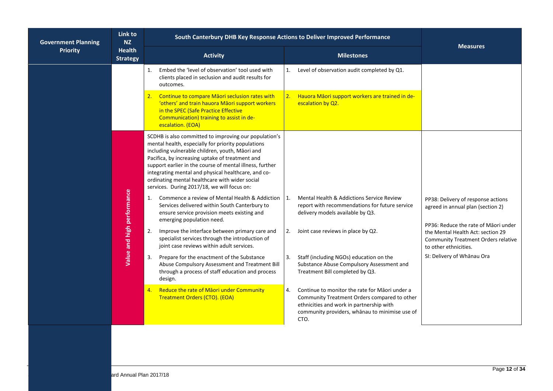| <b>Government Planning</b> | Link to<br>N <sub>Z</sub>        | South Canterbury DHB Key Response Actions to Deliver Improved Performance                                                                                                                                                                                                                                                                                                                                                                                                                                                                                                                                                                                                                                                                                                                                                                                                                                                                                                                                                      |                                                                                                                                                                                                                                                                                                                                                                                                                                                                                                                                  |                                                                                                                                                                                                                                                           |
|----------------------------|----------------------------------|--------------------------------------------------------------------------------------------------------------------------------------------------------------------------------------------------------------------------------------------------------------------------------------------------------------------------------------------------------------------------------------------------------------------------------------------------------------------------------------------------------------------------------------------------------------------------------------------------------------------------------------------------------------------------------------------------------------------------------------------------------------------------------------------------------------------------------------------------------------------------------------------------------------------------------------------------------------------------------------------------------------------------------|----------------------------------------------------------------------------------------------------------------------------------------------------------------------------------------------------------------------------------------------------------------------------------------------------------------------------------------------------------------------------------------------------------------------------------------------------------------------------------------------------------------------------------|-----------------------------------------------------------------------------------------------------------------------------------------------------------------------------------------------------------------------------------------------------------|
| <b>Priority</b>            | <b>Health</b><br><b>Strategy</b> | <b>Activity</b>                                                                                                                                                                                                                                                                                                                                                                                                                                                                                                                                                                                                                                                                                                                                                                                                                                                                                                                                                                                                                | <b>Milestones</b>                                                                                                                                                                                                                                                                                                                                                                                                                                                                                                                | <b>Measures</b>                                                                                                                                                                                                                                           |
|                            |                                  | Embed the 'level of observation' tool used with<br>1.<br>clients placed in seclusion and audit results for<br>outcomes.                                                                                                                                                                                                                                                                                                                                                                                                                                                                                                                                                                                                                                                                                                                                                                                                                                                                                                        | Level of observation audit completed by Q1.<br>1.                                                                                                                                                                                                                                                                                                                                                                                                                                                                                |                                                                                                                                                                                                                                                           |
|                            |                                  | Continue to compare Māori seclusion rates with<br>2.<br>'others' and train hauora Māori support workers<br>in the SPEC (Safe Practice Effective<br>Communication) training to assist in de-<br>escalation. (EOA)                                                                                                                                                                                                                                                                                                                                                                                                                                                                                                                                                                                                                                                                                                                                                                                                               | Hauora Māori support workers are trained in de-<br> 2.<br>escalation by Q2.                                                                                                                                                                                                                                                                                                                                                                                                                                                      |                                                                                                                                                                                                                                                           |
|                            | Value and high performance       | SCDHB is also committed to improving our population's<br>mental health, especially for priority populations<br>including vulnerable children, youth, Māori and<br>Pacifica, by increasing uptake of treatment and<br>support earlier in the course of mental illness, further<br>integrating mental and physical healthcare, and co-<br>ordinating mental healthcare with wider social<br>services. During 2017/18, we will focus on:<br>Commence a review of Mental Health & Addiction<br>1.<br>Services delivered within South Canterbury to<br>ensure service provision meets existing and<br>emerging population need.<br>Improve the interface between primary care and<br>specialist services through the introduction of<br>joint case reviews within adult services.<br>Prepare for the enactment of the Substance<br>3.<br>Abuse Compulsory Assessment and Treatment Bill<br>through a process of staff education and process<br>design.<br>Reduce the rate of Maori under Community<br>Treatment Orders (CTO). (EOA) | Mental Health & Addictions Service Review<br>1.<br>report with recommendations for future service<br>delivery models available by Q3.<br>Joint case reviews in place by Q2.<br>2.<br>Staff (including NGOs) education on the<br>3.<br>Substance Abuse Compulsory Assessment and<br>Treatment Bill completed by Q3.<br>4.<br>Continue to monitor the rate for Maori under a<br>Community Treatment Orders compared to other<br>ethnicities and work in partnership with<br>community providers, whānau to minimise use of<br>CTO. | PP38: Delivery of response actions<br>agreed in annual plan (section 2)<br>PP36: Reduce the rate of Māori under<br>the Mental Health Act: section 29<br><b>Community Treatment Orders relative</b><br>to other ethnicities.<br>SI: Delivery of Whānau Ora |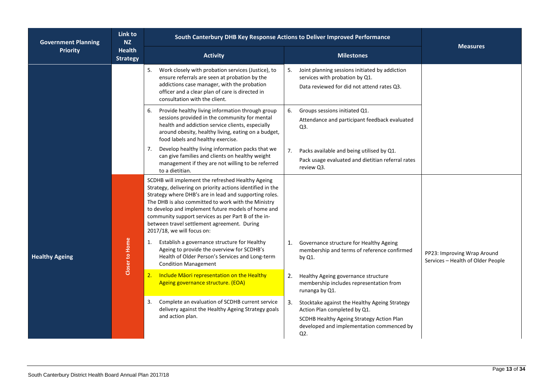| <b>Government Planning</b>                          | Link to<br><b>NZ</b>  | South Canterbury DHB Key Response Actions to Deliver Improved Performance                                                                                                                                                                                                                                                                                                                                                  |                                                                                                                                                                                      |                                                                  |
|-----------------------------------------------------|-----------------------|----------------------------------------------------------------------------------------------------------------------------------------------------------------------------------------------------------------------------------------------------------------------------------------------------------------------------------------------------------------------------------------------------------------------------|--------------------------------------------------------------------------------------------------------------------------------------------------------------------------------------|------------------------------------------------------------------|
| <b>Priority</b><br><b>Health</b><br><b>Strategy</b> |                       | <b>Activity</b>                                                                                                                                                                                                                                                                                                                                                                                                            | <b>Milestones</b>                                                                                                                                                                    | <b>Measures</b>                                                  |
|                                                     |                       | 5.<br>Work closely with probation services (Justice), to<br>ensure referrals are seen at probation by the<br>addictions case manager, with the probation<br>officer and a clear plan of care is directed in<br>consultation with the client.                                                                                                                                                                               | Joint planning sessions initiated by addiction<br>5.<br>services with probation by Q1.<br>Data reviewed for did not attend rates Q3.                                                 |                                                                  |
|                                                     |                       | Provide healthy living information through group<br>6.<br>sessions provided in the community for mental<br>health and addiction service clients, especially<br>around obesity, healthy living, eating on a budget,<br>food labels and healthy exercise.                                                                                                                                                                    | Groups sessions initiated Q1.<br>6.<br>Attendance and participant feedback evaluated<br>Q3.                                                                                          |                                                                  |
|                                                     |                       | Develop healthy living information packs that we<br>7.<br>can give families and clients on healthy weight<br>management if they are not willing to be referred<br>to a dietitian.                                                                                                                                                                                                                                          | Packs available and being utilised by Q1.<br>7.<br>Pack usage evaluated and dietitian referral rates<br>review Q3.                                                                   |                                                                  |
|                                                     |                       | SCDHB will implement the refreshed Healthy Ageing<br>Strategy, delivering on priority actions identified in the<br>Strategy where DHB's are in lead and supporting roles.<br>The DHB is also committed to work with the Ministry<br>to develop and implement future models of home and<br>community support services as per Part B of the in-<br>between travel settlement agreement. During<br>2017/18, we will focus on: |                                                                                                                                                                                      |                                                                  |
| <b>Healthy Ageing</b>                               | <b>Closer to Home</b> | Establish a governance structure for Healthy<br>1.<br>Ageing to provide the overview for SCDHB's<br>Health of Older Person's Services and Long-term<br><b>Condition Management</b>                                                                                                                                                                                                                                         | Governance structure for Healthy Ageing<br>1.<br>membership and terms of reference confirmed<br>by Q1.                                                                               | PP23: Improving Wrap Around<br>Services - Health of Older People |
|                                                     |                       | Include Maori representation on the Healthy<br>2.<br>Ageing governance structure. (EOA)                                                                                                                                                                                                                                                                                                                                    | 2.<br>Healthy Ageing governance structure<br>membership includes representation from<br>runanga by Q1.                                                                               |                                                                  |
|                                                     |                       | Complete an evaluation of SCDHB current service<br>3.<br>delivery against the Healthy Ageing Strategy goals<br>and action plan.                                                                                                                                                                                                                                                                                            | Stocktake against the Healthy Ageing Strategy<br>3.<br>Action Plan completed by Q1.<br>SCDHB Healthy Ageing Strategy Action Plan<br>developed and implementation commenced by<br>Q2. |                                                                  |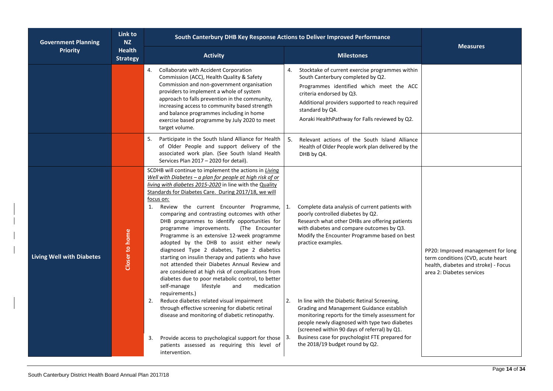| <b>Government Planning</b>       | Link to<br><b>NZ</b>             | South Canterbury DHB Key Response Actions to Deliver Improved Performance                                                                                                                                                                                                                                                                                                                                                                                                                                                                                                                                                                                                                                                                                                                                                                                                                                                                                                                                                                                                                                                                                              |                                                                                                                                                                                                                                                                                                                                                                                                                                                                                                                                                                                                         |                                                                                                                                              |  |
|----------------------------------|----------------------------------|------------------------------------------------------------------------------------------------------------------------------------------------------------------------------------------------------------------------------------------------------------------------------------------------------------------------------------------------------------------------------------------------------------------------------------------------------------------------------------------------------------------------------------------------------------------------------------------------------------------------------------------------------------------------------------------------------------------------------------------------------------------------------------------------------------------------------------------------------------------------------------------------------------------------------------------------------------------------------------------------------------------------------------------------------------------------------------------------------------------------------------------------------------------------|---------------------------------------------------------------------------------------------------------------------------------------------------------------------------------------------------------------------------------------------------------------------------------------------------------------------------------------------------------------------------------------------------------------------------------------------------------------------------------------------------------------------------------------------------------------------------------------------------------|----------------------------------------------------------------------------------------------------------------------------------------------|--|
| <b>Priority</b>                  | <b>Health</b><br><b>Strategy</b> | <b>Activity</b>                                                                                                                                                                                                                                                                                                                                                                                                                                                                                                                                                                                                                                                                                                                                                                                                                                                                                                                                                                                                                                                                                                                                                        | <b>Milestones</b>                                                                                                                                                                                                                                                                                                                                                                                                                                                                                                                                                                                       | <b>Measures</b>                                                                                                                              |  |
|                                  |                                  | 4. Collaborate with Accident Corporation<br>Commission (ACC), Health Quality & Safety<br>Commission and non-government organisation<br>providers to implement a whole of system<br>approach to falls prevention in the community,<br>increasing access to community based strength<br>and balance programmes including in home<br>exercise based programme by July 2020 to meet<br>target volume.                                                                                                                                                                                                                                                                                                                                                                                                                                                                                                                                                                                                                                                                                                                                                                      | 4. Stocktake of current exercise programmes within<br>South Canterbury completed by Q2.<br>Programmes identified which meet the ACC<br>criteria endorsed by Q3.<br>Additional providers supported to reach required<br>standard by Q4.<br>Aoraki HealthPathway for Falls reviewed by Q2.                                                                                                                                                                                                                                                                                                                |                                                                                                                                              |  |
|                                  |                                  | Participate in the South Island Alliance for Health<br>5.<br>of Older People and support delivery of the<br>associated work plan. (See South Island Health<br>Services Plan 2017 - 2020 for detail).                                                                                                                                                                                                                                                                                                                                                                                                                                                                                                                                                                                                                                                                                                                                                                                                                                                                                                                                                                   | 5.<br>Relevant actions of the South Island Alliance<br>Health of Older People work plan delivered by the<br>DHB by Q4.                                                                                                                                                                                                                                                                                                                                                                                                                                                                                  |                                                                                                                                              |  |
| <b>Living Well with Diabetes</b> | Closer to home                   | SCDHB will continue to implement the actions in Living<br>Well with Diabetes $-$ a plan for people at high risk of or<br>living with diabetes 2015-2020 in line with the Quality<br>Standards for Diabetes Care. During 2017/18, we will<br>focus on:<br>1. Review the current Encounter Programme,<br>comparing and contrasting outcomes with other<br>DHB programmes to identify opportunities for<br>programme improvements. (The Encounter<br>Programme is an extensive 12-week programme<br>adopted by the DHB to assist either newly<br>diagnosed Type 2 diabetes, Type 2 diabetics<br>starting on insulin therapy and patients who have<br>not attended their Diabetes Annual Review and<br>are considered at high risk of complications from<br>diabetes due to poor metabolic control, to better<br>self-manage<br>lifestyle<br>and<br>medication<br>requirements.)<br>2. Reduce diabetes related visual impairment<br>through effective screening for diabetic retinal<br>disease and monitoring of diabetic retinopathy.<br>Provide access to psychological support for those $ 3$ .<br>3.<br>patients assessed as requiring this level of<br>intervention. | Complete data analysis of current patients with<br>poorly controlled diabetes by Q2.<br>Research what other DHBs are offering patients<br>with diabetes and compare outcomes by Q3.<br>Modify the Encounter Programme based on best<br>practice examples.<br>In line with the Diabetic Retinal Screening,<br>2.<br>Grading and Management Guidance establish<br>monitoring reports for the timely assessment for<br>people newly diagnosed with type two diabetes<br>(screened within 90 days of referral) by Q1.<br>Business case for psychologist FTE prepared for<br>the 2018/19 budget round by Q2. | PP20: Improved management for long<br>term conditions (CVD, acute heart<br>health, diabetes and stroke) - Focus<br>area 2: Diabetes services |  |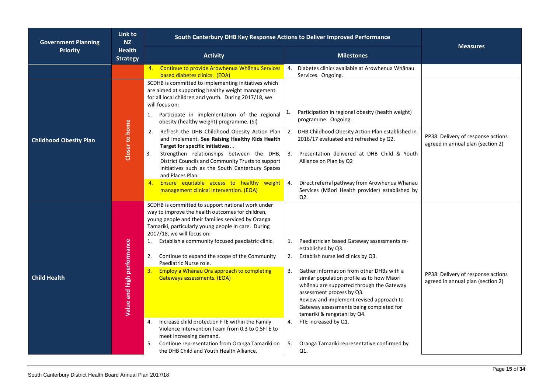| <b>Government Planning</b>    | Link to<br><b>NZ</b>             | South Canterbury DHB Key Response Actions to Deliver Improved Performance                                                                                                                                                                                                                                                                                                                                                                                                                                                               |                      |                                                                                                                                                                                                                                                                                                                                                                                                                           | <b>Measures</b>                                                         |  |
|-------------------------------|----------------------------------|-----------------------------------------------------------------------------------------------------------------------------------------------------------------------------------------------------------------------------------------------------------------------------------------------------------------------------------------------------------------------------------------------------------------------------------------------------------------------------------------------------------------------------------------|----------------------|---------------------------------------------------------------------------------------------------------------------------------------------------------------------------------------------------------------------------------------------------------------------------------------------------------------------------------------------------------------------------------------------------------------------------|-------------------------------------------------------------------------|--|
| <b>Priority</b>               | <b>Health</b><br><b>Strategy</b> | <b>Activity</b>                                                                                                                                                                                                                                                                                                                                                                                                                                                                                                                         |                      | <b>Milestones</b>                                                                                                                                                                                                                                                                                                                                                                                                         |                                                                         |  |
|                               |                                  | 4. Continue to provide Arowhenua Whanau Services<br>based diabetes clinics. (EOA)                                                                                                                                                                                                                                                                                                                                                                                                                                                       | 4.                   | Diabetes clinics available at Arowhenua Whānau<br>Services. Ongoing.                                                                                                                                                                                                                                                                                                                                                      |                                                                         |  |
|                               |                                  | SCDHB is committed to implementing initiatives which<br>are aimed at supporting healthy weight management<br>for all local children and youth. During 2017/18, we<br>will focus on:<br>Participate in implementation of the regional<br>1.                                                                                                                                                                                                                                                                                              | 1.                   | Participation in regional obesity (health weight)<br>programme. Ongoing.                                                                                                                                                                                                                                                                                                                                                  |                                                                         |  |
| <b>Childhood Obesity Plan</b> | Closer to home                   | obesity (healthy weight) programme. (SI)<br>Refresh the DHB Childhood Obesity Action Plan<br>2.<br>and implement. See Raising Healthy Kids Health<br>Target for specific initiatives<br>Strengthen relationships between the DHB,<br>3.<br>District Councils and Community Trusts to support<br>initiatives such as the South Canterbury Spaces<br>and Places Plan.                                                                                                                                                                     | 2.<br>3.             | DHB Childhood Obesity Action Plan established in<br>2016/17 evaluated and refreshed by Q2.<br>Presentation delivered at DHB Child & Youth<br>Alliance on Plan by Q2                                                                                                                                                                                                                                                       | PP38: Delivery of response actions<br>agreed in annual plan (section 2) |  |
|                               |                                  | Ensure equitable access to healthy weight<br>4.<br>management clinical intervention. (EOA)                                                                                                                                                                                                                                                                                                                                                                                                                                              | 4.<br>Q2.            | Direct referral pathway from Arowhenua Whānau<br>Services (Māori Health provider) established by                                                                                                                                                                                                                                                                                                                          |                                                                         |  |
| <b>Child Health</b>           | Value and high performance       | SCDHB is committed to support national work under<br>way to improve the health outcomes for children,<br>young people and their families serviced by Oranga<br>Tamariki, particularly young people in care. During<br>2017/18, we will focus on:<br>Establish a community focused paediatric clinic.<br>1.<br>Continue to expand the scope of the Community<br>2.<br>Paediatric Nurse role.<br>Employ a Whanau Ora approach to completing<br>3.<br>Gateways assessments. (EOA)<br>Increase child protection FTE within the Family<br>4. | 1.<br>2.<br>3.<br>4. | Paediatrician based Gateway assessments re-<br>established by Q3.<br>Establish nurse led clinics by Q3.<br>Gather information from other DHBs with a<br>similar population profile as to how Māori<br>whānau are supported through the Gateway<br>assessment process by Q3.<br>Review and implement revised approach to<br>Gateway assessments being completed for<br>tamariki & rangatahi by Q4.<br>FTE increased by Q1. | PP38: Delivery of response actions<br>agreed in annual plan (section 2) |  |
|                               |                                  | Violence Intervention Team from 0.3 to 0.5FTE to<br>meet increasing demand.<br>Continue representation from Oranga Tamariki on<br>5.<br>the DHB Child and Youth Health Alliance.                                                                                                                                                                                                                                                                                                                                                        | 5.<br>Q1.            | Oranga Tamariki representative confirmed by                                                                                                                                                                                                                                                                                                                                                                               |                                                                         |  |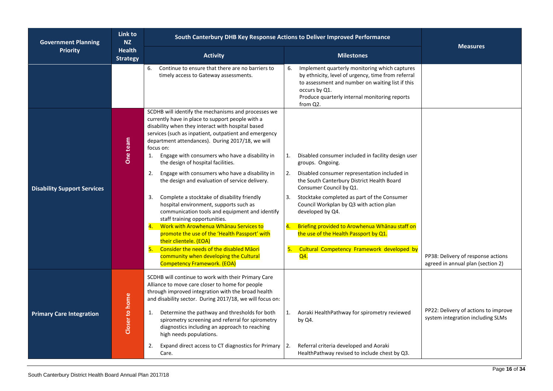| <b>Government Planning</b>         | Link to<br><b>NZ</b>             | South Canterbury DHB Key Response Actions to Deliver Improved Performance                                                                                                                                                                                                                                                                                                                                                                                                                                                                                                                                                                                                                                                                                                                                                                                                                                                               |                                                                                                                                                                                                                                                                                                                                                                                                                                                                                             |                                                                           |  |  |
|------------------------------------|----------------------------------|-----------------------------------------------------------------------------------------------------------------------------------------------------------------------------------------------------------------------------------------------------------------------------------------------------------------------------------------------------------------------------------------------------------------------------------------------------------------------------------------------------------------------------------------------------------------------------------------------------------------------------------------------------------------------------------------------------------------------------------------------------------------------------------------------------------------------------------------------------------------------------------------------------------------------------------------|---------------------------------------------------------------------------------------------------------------------------------------------------------------------------------------------------------------------------------------------------------------------------------------------------------------------------------------------------------------------------------------------------------------------------------------------------------------------------------------------|---------------------------------------------------------------------------|--|--|
| <b>Priority</b>                    | <b>Health</b><br><b>Strategy</b> | <b>Activity</b>                                                                                                                                                                                                                                                                                                                                                                                                                                                                                                                                                                                                                                                                                                                                                                                                                                                                                                                         | <b>Milestones</b>                                                                                                                                                                                                                                                                                                                                                                                                                                                                           | <b>Measures</b>                                                           |  |  |
|                                    |                                  | Continue to ensure that there are no barriers to<br>6.<br>timely access to Gateway assessments.                                                                                                                                                                                                                                                                                                                                                                                                                                                                                                                                                                                                                                                                                                                                                                                                                                         | Implement quarterly monitoring which captures<br>6.<br>by ethnicity, level of urgency, time from referral<br>to assessment and number on waiting list if this<br>occurs by Q1.<br>Produce quarterly internal monitoring reports<br>from Q2.                                                                                                                                                                                                                                                 |                                                                           |  |  |
| <b>Disability Support Services</b> | One team                         | SCDHB will identify the mechanisms and processes we<br>currently have in place to support people with a<br>disability when they interact with hospital based<br>services (such as inpatient, outpatient and emergency<br>department attendances). During 2017/18, we will<br>focus on:<br>Engage with consumers who have a disability in<br>1.<br>the design of hospital facilities.<br>Engage with consumers who have a disability in<br>2.<br>the design and evaluation of service delivery.<br>Complete a stocktake of disability friendly<br>3.<br>hospital environment, supports such as<br>communication tools and equipment and identify<br>staff training opportunities.<br>4. Work with Arowhenua Whanau Services to<br>promote the use of the 'Health Passport' with<br>their clientele. (EOA)<br>5. Consider the needs of the disabled Māori<br>community when developing the Cultural<br><b>Competency Framework. (EOA)</b> | Disabled consumer included in facility design user<br>1.<br>groups. Ongoing.<br>2.<br>Disabled consumer representation included in<br>the South Canterbury District Health Board<br>Consumer Council by Q1.<br>Stocktake completed as part of the Consumer<br>3.<br>Council Workplan by Q3 with action plan<br>developed by Q4.<br>Briefing provided to Arowhenua Whanau staff on<br>4.<br>the use of the Health Passport by Q1.<br>Cultural Competency Framework developed by<br>5.<br>Q4. | PP38: Delivery of response actions<br>agreed in annual plan (section 2)   |  |  |
| <b>Primary Care Integration</b>    | Closer to home                   | SCDHB will continue to work with their Primary Care<br>Alliance to move care closer to home for people<br>through improved integration with the broad health<br>and disability sector. During 2017/18, we will focus on:<br>Determine the pathway and thresholds for both<br>1.<br>spirometry screening and referral for spirometry<br>diagnostics including an approach to reaching<br>high needs populations.<br>Expand direct access to CT diagnostics for Primary<br>2.<br>Care.                                                                                                                                                                                                                                                                                                                                                                                                                                                    | 1.<br>Aoraki HealthPathway for spirometry reviewed<br>by Q4.<br>Referral criteria developed and Aoraki<br>2.<br>HealthPathway revised to include chest by Q3.                                                                                                                                                                                                                                                                                                                               | PP22: Delivery of actions to improve<br>system integration including SLMs |  |  |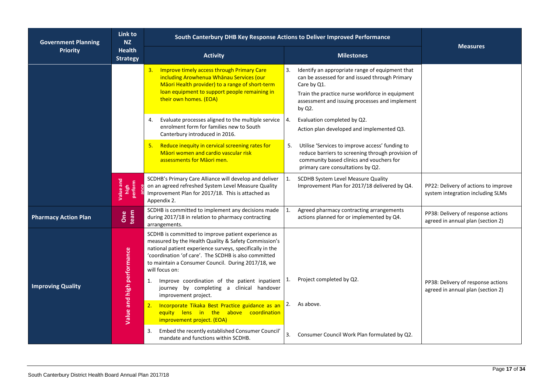| <b>Government Planning</b>                          | Link to<br><b>NZ</b>         |                                                                                                                                                                                                                                                                                                         | South Canterbury DHB Key Response Actions to Deliver Improved Performance                                                                                                                                                                |                                                                           |  |
|-----------------------------------------------------|------------------------------|---------------------------------------------------------------------------------------------------------------------------------------------------------------------------------------------------------------------------------------------------------------------------------------------------------|------------------------------------------------------------------------------------------------------------------------------------------------------------------------------------------------------------------------------------------|---------------------------------------------------------------------------|--|
| <b>Priority</b><br><b>Health</b><br><b>Strategy</b> |                              | <b>Activity</b>                                                                                                                                                                                                                                                                                         | <b>Milestones</b>                                                                                                                                                                                                                        | <b>Measures</b>                                                           |  |
|                                                     |                              | 3. Improve timely access through Primary Care<br>including Arowhenua Whanau Services (our<br>Māori Health provider) to a range of short-term<br>loan equipment to support people remaining in<br>their own homes. (EOA)                                                                                 | Identify an appropriate range of equipment that<br>3.<br>can be assessed for and issued through Primary<br>Care by Q1.<br>Train the practice nurse workforce in equipment<br>assessment and issuing processes and implement<br>by $Q2$ . |                                                                           |  |
|                                                     |                              | Evaluate processes aligned to the multiple service<br>4.<br>enrolment form for families new to South<br>Canterbury introduced in 2016.                                                                                                                                                                  | Evaluation completed by Q2.<br>4.<br>Action plan developed and implemented Q3.                                                                                                                                                           |                                                                           |  |
|                                                     |                              | Reduce inequity in cervical screening rates for<br>Māori women and cardio vascular risk<br>assessments for Māori men.                                                                                                                                                                                   | Utilise 'Services to improve access' funding to<br>reduce barriers to screening through provision of<br>community based clinics and vouchers for<br>primary care consultations by Q2.                                                    |                                                                           |  |
|                                                     | Value and<br>high<br>perform | SCDHB's Primary Care Alliance will develop and deliver<br>on an agreed refreshed System Level Measure Quality<br>Improvement Plan for 2017/18. This is attached as<br>Appendix 2.                                                                                                                       | 1.<br>SCDHB System Level Measure Quality<br>Improvement Plan for 2017/18 delivered by Q4.                                                                                                                                                | PP22: Delivery of actions to improve<br>system integration including SLMs |  |
| <b>Pharmacy Action Plan</b>                         | One<br>team                  | SCDHB is committed to implement any decisions made<br>during 2017/18 in relation to pharmacy contracting<br>arrangements.                                                                                                                                                                               | 1.<br>Agreed pharmacy contracting arrangements<br>actions planned for or implemented by Q4.                                                                                                                                              | PP38: Delivery of response actions<br>agreed in annual plan (section 2)   |  |
|                                                     | Value and high performance   | SCDHB is committed to improve patient experience as<br>measured by the Health Quality & Safety Commission's<br>national patient experience surveys, specifically in the<br>'coordination 'of care'. The SCDHB is also committed<br>to maintain a Consumer Council. During 2017/18, we<br>will focus on: |                                                                                                                                                                                                                                          |                                                                           |  |
| <b>Improving Quality</b>                            |                              | Improve coordination of the patient inpatient<br>1.<br>journey by completing a clinical handover<br>improvement project.                                                                                                                                                                                | Project completed by Q2.<br>1.                                                                                                                                                                                                           | PP38: Delivery of response actions<br>agreed in annual plan (section 2)   |  |
|                                                     |                              | Incorporate Tikaka Best Practice guidance as an<br>2.<br>equity lens in the above coordination<br>improvement project. (EOA)                                                                                                                                                                            | As above.<br>2.                                                                                                                                                                                                                          |                                                                           |  |
|                                                     |                              | Embed the recently established Consumer Council'<br>3.<br>mandate and functions within SCDHB.                                                                                                                                                                                                           | 3.<br>Consumer Council Work Plan formulated by Q2.                                                                                                                                                                                       |                                                                           |  |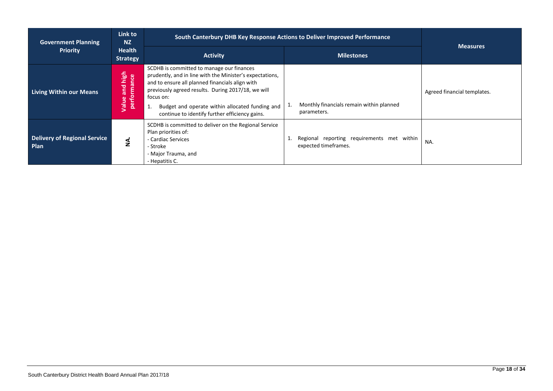| <b>Government Planning</b>                         | Link to<br><b>NZ</b>             | South Canterbury DHB Key Response Actions to Deliver Improved Performance                                                                                                                                                                                                                                                        |                                                                    |                             |
|----------------------------------------------------|----------------------------------|----------------------------------------------------------------------------------------------------------------------------------------------------------------------------------------------------------------------------------------------------------------------------------------------------------------------------------|--------------------------------------------------------------------|-----------------------------|
| <b>Priority</b>                                    | <b>Health</b><br><b>Strategy</b> | <b>Activity</b>                                                                                                                                                                                                                                                                                                                  | <b>Milestones</b>                                                  | Measures                    |
| <b>Living Within our Means</b>                     | Value and high<br>performance    | SCDHB is committed to manage our finances<br>prudently, and in line with the Minister's expectations,<br>and to ensure all planned financials align with<br>previously agreed results. During 2017/18, we will<br>focus on:<br>Budget and operate within allocated funding and<br>continue to identify further efficiency gains. | Monthly financials remain within planned<br>1.<br>parameters.      | Agreed financial templates. |
| <b>Delivery of Regional Service</b><br><b>Plan</b> | ś                                | SCDHB is committed to deliver on the Regional Service<br>Plan priorities of:<br>- Cardiac Services<br>- Stroke<br>- Major Trauma, and<br>- Hepatitis C.                                                                                                                                                                          | Regional reporting requirements met within<br>expected timeframes. | NA.                         |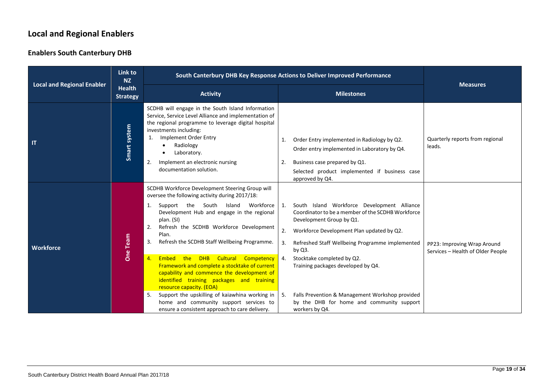### **Local and Regional Enablers**

#### **Enablers South Canterbury DHB**

<span id="page-23-0"></span>

| <b>Local and Regional Enabler</b> | Link to<br><b>NZ</b>                                                                                                                                                                                                                                                                                                                                                                                                                                                                                                                                                                                                                                                              | South Canterbury DHB Key Response Actions to Deliver Improved Performance                                                                                                                                                                                                                                                  | <b>Measures</b>                                                                                                                                                                                                                                                                                                                                                                                                                          |                                                                  |
|-----------------------------------|-----------------------------------------------------------------------------------------------------------------------------------------------------------------------------------------------------------------------------------------------------------------------------------------------------------------------------------------------------------------------------------------------------------------------------------------------------------------------------------------------------------------------------------------------------------------------------------------------------------------------------------------------------------------------------------|----------------------------------------------------------------------------------------------------------------------------------------------------------------------------------------------------------------------------------------------------------------------------------------------------------------------------|------------------------------------------------------------------------------------------------------------------------------------------------------------------------------------------------------------------------------------------------------------------------------------------------------------------------------------------------------------------------------------------------------------------------------------------|------------------------------------------------------------------|
|                                   | <b>Health</b><br><b>Strategy</b>                                                                                                                                                                                                                                                                                                                                                                                                                                                                                                                                                                                                                                                  | <b>Activity</b>                                                                                                                                                                                                                                                                                                            | <b>Milestones</b>                                                                                                                                                                                                                                                                                                                                                                                                                        |                                                                  |
| IT                                | Smart system                                                                                                                                                                                                                                                                                                                                                                                                                                                                                                                                                                                                                                                                      | SCDHB will engage in the South Island Information<br>Service, Service Level Alliance and implementation of<br>the regional programme to leverage digital hospital<br>investments including:<br>Implement Order Entry<br>1.<br>Radiology<br>Laboratory.<br>Implement an electronic nursing<br>2.<br>documentation solution. | Order Entry implemented in Radiology by Q2.<br>1.<br>Order entry implemented in Laboratory by Q4.<br>Business case prepared by Q1.<br>-2.<br>Selected product implemented if business case<br>approved by Q4.                                                                                                                                                                                                                            | Quarterly reports from regional<br>leads.                        |
| <b>Workforce</b>                  | SCDHB Workforce Development Steering Group will<br>oversee the following activity during 2017/18:<br>South<br>Island Workforce 1.<br>Support the<br>1.<br>Development Hub and engage in the regional<br>plan. (SI)<br>Refresh the SCDHB Workforce Development<br>2.<br>Plan.<br>One Team<br>Refresh the SCDHB Staff Wellbeing Programme.<br>3.<br>Embed the DHB Cultural Competency 4.<br>4.<br>Framework and complete a stocktake of current<br>capability and commence the development of<br>identified training packages and training<br>resource capacity. (EOA)<br>Support the upskilling of kaiawhina working in $\vert$ 5.<br>5.<br>home and community support services to |                                                                                                                                                                                                                                                                                                                            | South Island Workforce Development Alliance<br>Coordinator to be a member of the SCDHB Workforce<br>Development Group by Q1.<br>2.<br>Workforce Development Plan updated by Q2.<br>3.<br>Refreshed Staff Wellbeing Programme implemented<br>by Q3.<br>Stocktake completed by Q2.<br>Training packages developed by Q4.<br>Falls Prevention & Management Workshop provided<br>by the DHB for home and community support<br>workers by Q4. | PP23: Improving Wrap Around<br>Services - Health of Older People |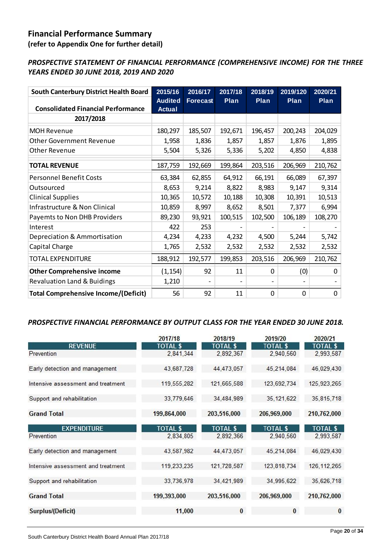### <span id="page-24-0"></span>**Financial Performance Summary**

**(refer to Appendix One for further detail)**

### *PROSPECTIVE STATEMENT OF FINANCIAL PERFORMANCE (COMPREHENSIVE INCOME) FOR THE THREE YEARS ENDED 30 JUNE 2018, 2019 AND 2020*

| <b>South Canterbury District Health Board</b><br><b>Consolidated Financial Performance</b> | 2015/16<br><b>Audited</b><br><b>Actual</b> | 2016/17<br><b>Forecast</b> | 2017/18<br>Plan | 2018/19<br>Plan | 2019/120<br>Plan | 2020/21<br>Plan |
|--------------------------------------------------------------------------------------------|--------------------------------------------|----------------------------|-----------------|-----------------|------------------|-----------------|
| 2017/2018                                                                                  |                                            |                            |                 |                 |                  |                 |
| <b>MOH Revenue</b>                                                                         | 180,297                                    | 185,507                    | 192,671         | 196,457         | 200,243          | 204,029         |
| <b>Other Government Revenue</b>                                                            | 1,958                                      | 1,836                      | 1,857           | 1,857           | 1,876            | 1,895           |
| <b>Other Revenue</b>                                                                       | 5,504                                      | 5,326                      | 5,336           | 5,202           | 4,850            | 4,838           |
| <b>TOTAL REVENUE</b>                                                                       | 187,759                                    | 192,669                    | 199,864         | 203,516         | 206,969          | 210,762         |
| <b>Personnel Benefit Costs</b>                                                             | 63,384                                     | 62,855                     | 64,912          | 66,191          | 66,089           | 67,397          |
| Outsourced                                                                                 | 8,653                                      | 9,214                      | 8,822           | 8,983           | 9,147            | 9,314           |
| <b>Clinical Supplies</b>                                                                   | 10,365                                     | 10,572                     | 10,188          | 10,308          | 10,391           | 10,513          |
| Infrastructure & Non Clinical                                                              | 10,859                                     | 8,997                      | 8,652           | 8,501           | 7,377            | 6,994           |
| Payemts to Non DHB Providers                                                               | 89,230                                     | 93,921                     | 100,515         | 102,500         | 106,189          | 108,270         |
| Interest                                                                                   | 422                                        | 253                        |                 |                 |                  |                 |
| Depreciation & Ammortisation                                                               | 4,234                                      | 4,233                      | 4,232           | 4,500           | 5,244            | 5,742           |
| Capital Charge                                                                             | 1,765                                      | 2,532                      | 2,532           | 2,532           | 2,532            | 2,532           |
| <b>TOTAL EXPENDITURE</b>                                                                   | 188,912                                    | 192,577                    | 199,853         | 203,516         | 206,969          | 210,762         |
| <b>Other Comprehensive income</b>                                                          | (1, 154)                                   | 92                         | 11              | 0               | (0)              | 0               |
| <b>Revaluation Land &amp; Buidings</b>                                                     | 1,210                                      |                            |                 |                 |                  |                 |
| <b>Total Comprehensive Income/(Deficit)</b>                                                | 56                                         | 92                         | 11              | $\Omega$        | 0                | 0               |

#### *PROSPECTIVE FINANCIAL PERFORMANCE BY OUTPUT CLASS FOR THE YEAR ENDED 30 JUNE 2018.*

|                                    | 2017/18         | 2018/19         | 2019/20         | 2020/21         |
|------------------------------------|-----------------|-----------------|-----------------|-----------------|
| <b>REVENUE</b>                     | <b>TOTAL \$</b> | <b>TOTAL \$</b> | <b>TOTAL \$</b> | <b>TOTAL \$</b> |
| Prevention                         | 2,841,344       | 2,892,367       | 2,940,560       | 2,993,587       |
| Early detection and management     | 43,687,728      | 44,473,057      | 45.214.084      | 46.029.430      |
| Intensive assessment and treatment | 119,555,282     | 121,665,588     | 123,692,734     | 125,923,265     |
| Support and rehabilitation         | 33,779,646      | 34,484,989      | 35, 121, 622    | 35, 815, 718    |
| <b>Grand Total</b>                 | 199,864,000     | 203,516,000     | 206,969,000     | 210,762,000     |
| <b>EXPENDITURE</b>                 | <b>TOTAL \$</b> | <b>TOTAL \$</b> | <b>TOTAL \$</b> | <b>TOTAL \$</b> |
| Prevention                         | 2,834,805       | 2,892,366       | 2,940,560       | 2,993,587       |
| Early detection and management     | 43,587,982      | 44,473,057      | 45,214,084      | 46.029.430      |
| Intensive assessment and treatment | 119,233,235     | 121,728,587     | 123,818,734     | 126, 112, 265   |
| Support and rehabilitation         | 33,736,978      | 34,421,989      | 34,995,622      | 35,626,718      |
| <b>Grand Total</b>                 | 199,393,000     | 203,516,000     | 206,969,000     | 210,762,000     |
| Surplus/(Deficit)                  | 11,000          | $\bf{0}$        | $\bf{0}$        | $\bf{0}$        |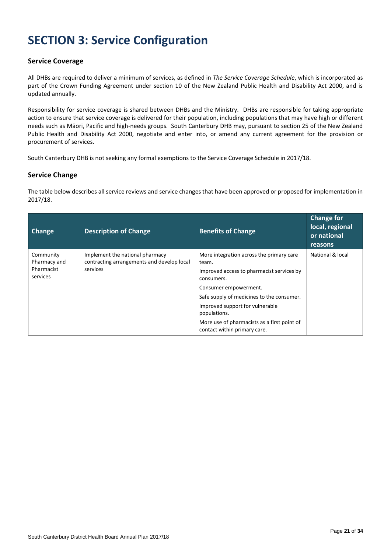# <span id="page-25-0"></span>**SECTION 3: Service Configuration**

#### <span id="page-25-1"></span>**Service Coverage**

All DHBs are required to deliver a minimum of services, as defined in *The Service Coverage Schedule*, which is incorporated as part of the Crown Funding Agreement under section 10 of the New Zealand Public Health and Disability Act 2000, and is updated annually.

Responsibility for service coverage is shared between DHBs and the Ministry. DHBs are responsible for taking appropriate action to ensure that service coverage is delivered for their population, including populations that may have high or different needs such as Māori, Pacific and high-needs groups. South Canterbury DHB may, pursuant to section 25 of the New Zealand Public Health and Disability Act 2000, negotiate and enter into, or amend any current agreement for the provision or procurement of services.

South Canterbury DHB is not seeking any formal exemptions to the Service Coverage Schedule in 2017/18.

#### <span id="page-25-2"></span>**Service Change**

The table below describes all service reviews and service changes that have been approved or proposed for implementation in 2017/18.

| Change                    | <b>Description of Change</b>                                                  | <b>Benefits of Change</b>                                                   | <b>Change for</b><br>local, regional<br>or national<br>reasons |
|---------------------------|-------------------------------------------------------------------------------|-----------------------------------------------------------------------------|----------------------------------------------------------------|
| Community<br>Pharmacy and | Implement the national pharmacy<br>contracting arrangements and develop local | More integration across the primary care<br>team.                           | National & local                                               |
| Pharmacist<br>services    | services                                                                      | Improved access to pharmacist services by<br>consumers.                     |                                                                |
|                           |                                                                               | Consumer empowerment.                                                       |                                                                |
|                           |                                                                               | Safe supply of medicines to the consumer.                                   |                                                                |
|                           |                                                                               | Improved support for vulnerable<br>populations.                             |                                                                |
|                           |                                                                               | More use of pharmacists as a first point of<br>contact within primary care. |                                                                |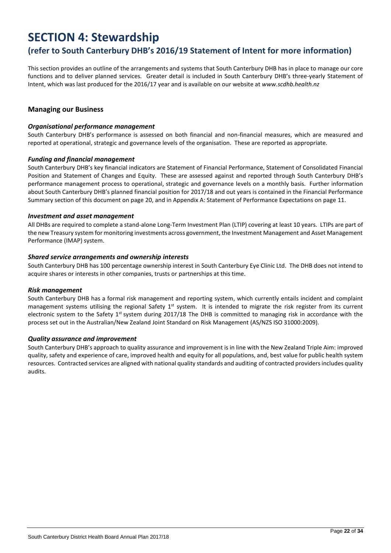## <span id="page-26-0"></span>**SECTION 4: Stewardship**

### **(refer to South Canterbury DHB's 2016/19 Statement of Intent for more information)**

This section provides an outline of the arrangements and systems that South Canterbury DHB has in place to manage our core functions and to deliver planned services. Greater detail is included in South Canterbury DHB's three-yearly Statement of Intent, which was last produced for the 2016/17 year and is available on our website at *www.scdhb.health.nz*

#### <span id="page-26-1"></span>**Managing our Business**

#### *Organisational performance management*

South Canterbury DHB's performance is assessed on both financial and non-financial measures, which are measured and reported at operational, strategic and governance levels of the organisation. These are reported as appropriate.

#### *Funding and financial management*

South Canterbury DHB's key financial indicators are Statement of Financial Performance, Statement of Consolidated Financial Position and Statement of Changes and Equity. These are assessed against and reported through South Canterbury DHB's performance management process to operational, strategic and governance levels on a monthly basis. Further information about South Canterbury DHB's planned financial position for 2017/18 and out years is contained in the Financial Performance Summary section of this document on page 20, and in Appendix A: Statement of Performance Expectations on page 11.

#### *Investment and asset management*

All DHBs are required to complete a stand-alone Long-Term Investment Plan (LTIP) covering at least 10 years. LTIPs are part of the new Treasury system for monitoring investments across government, the Investment Management and Asset Management Performance (IMAP) system.

#### *Shared service arrangements and ownership interests*

South Canterbury DHB has 100 percentage ownership interest in South Canterbury Eye Clinic Ltd. The DHB does not intend to acquire shares or interests in other companies, trusts or partnerships at this time.

#### *Risk management*

South Canterbury DHB has a formal risk management and reporting system, which currently entails incident and complaint management systems utilising the regional Safety  $1^{st}$  system. It is intended to migrate the risk register from its current electronic system to the Safety  $1^{st}$  system during 2017/18 The DHB is committed to managing risk in accordance with the process set out in the Australian/New Zealand Joint Standard on Risk Management (AS/NZS ISO 31000:2009).

#### *Quality assurance and improvement*

South Canterbury DHB's approach to quality assurance and improvement is in line with the New Zealand Triple Aim: improved quality, safety and experience of care, improved health and equity for all populations, and, best value for public health system resources. Contracted services are aligned with national quality standards and auditing of contracted providers includes quality audits.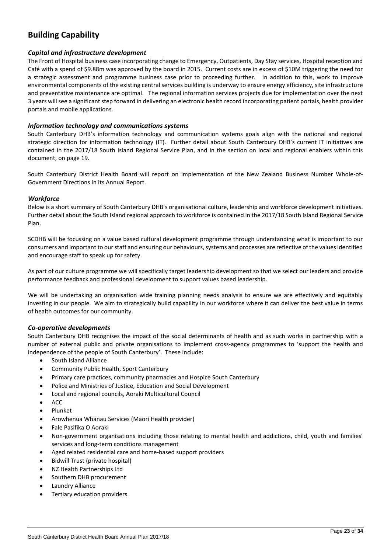### <span id="page-27-0"></span>**Building Capability**

#### *Capital and infrastructure development*

The Front of Hospital business case incorporating change to Emergency, Outpatients, Day Stay services, Hospital reception and Café with a spend of \$9.88m was approved by the board in 2015. Current costs are in excess of \$10M triggering the need for a strategic assessment and programme business case prior to proceeding further. In addition to this, work to improve environmental components of the existing central services building is underway to ensure energy efficiency, site infrastructure and preventative maintenance are optimal. The regional information services projects due for implementation over the next 3 years will see a significant step forward in delivering an electronic health record incorporating patient portals, health provider portals and mobile applications.

#### *Information technology and communications systems*

South Canterbury DHB's information technology and communication systems goals align with the national and regional strategic direction for information technology (IT). Further detail about South Canterbury DHB's current IT initiatives are contained in the 2017/18 South Island Regional Service Plan, and in the section on local and regional enablers within this document, on page 19.

South Canterbury District Health Board will report on implementation of the New Zealand Business Number Whole-of-Government Directions in its Annual Report.

#### *Workforce*

Below is a short summary of South Canterbury DHB's organisational culture, leadership and workforce development initiatives. Further detail about the South Island regional approach to workforce is contained in the 2017/18 South Island Regional Service Plan.

SCDHB will be focussing on a value based cultural development programme through understanding what is important to our consumers and important to our staff and ensuring our behaviours, systems and processes are reflective of the values identified and encourage staff to speak up for safety.

As part of our culture programme we will specifically target leadership development so that we select our leaders and provide performance feedback and professional development to support values based leadership.

We will be undertaking an organisation wide training planning needs analysis to ensure we are effectively and equitably investing in our people. We aim to strategically build capability in our workforce where it can deliver the best value in terms of health outcomes for our community.

#### *Co-operative developments*

South Canterbury DHB recognises the impact of the social determinants of health and as such works in partnership with a number of external public and private organisations to implement cross-agency programmes to 'support the health and independence of the people of South Canterbury'. These include:

- South Island Alliance
- Community Public Health, Sport Canterbury
- Primary care practices, community pharmacies and Hospice South Canterbury
- Police and Ministries of Justice, Education and Social Development
- Local and regional councils, Aoraki Multicultural Council
- ACC
- Plunket
- Arowhenua Whānau Services (Māori Health provider)
- Fale Pasifika O Aoraki
- Non-government organisations including those relating to mental health and addictions, child, youth and families' services and long-term conditions management
- Aged related residential care and home-based support providers
- Bidwill Trust (private hospital)
- NZ Health Partnerships Ltd
- Southern DHB procurement
- **Laundry Alliance**
- Tertiary education providers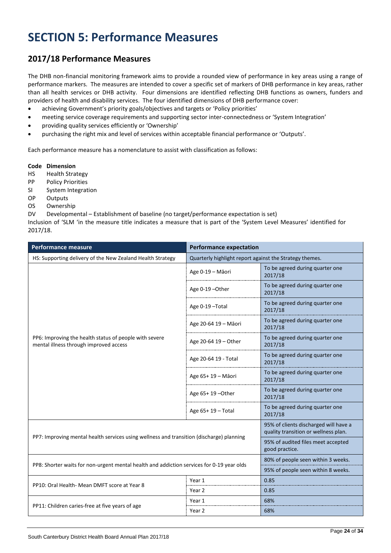# <span id="page-28-0"></span>**SECTION 5: Performance Measures**

### <span id="page-28-1"></span>**2017/18 Performance Measures**

The DHB non-financial monitoring framework aims to provide a rounded view of performance in key areas using a range of performance markers. The measures are intended to cover a specific set of markers of DHB performance in key areas, rather than all health services or DHB activity. Four dimensions are identified reflecting DHB functions as owners, funders and providers of health and disability services. The four identified dimensions of DHB performance cover:

- achieving Government's priority goals/objectives and targets or 'Policy priorities'
- meeting service coverage requirements and supporting sector inter-connectedness or 'System Integration'
- providing quality services efficiently or 'Ownership'
- purchasing the right mix and level of services within acceptable financial performance or 'Outputs'.

Each performance measure has a nomenclature to assist with classification as follows:

#### **Code Dimension**

- HS Health Strategy
- PP Policy Priorities
- SI System Integration
- OP Outputs
- OS Ownership
- DV Developmental Establishment of baseline (no target/performance expectation is set)

Inclusion of 'SLM 'in the measure title indicates a measure that is part of the 'System Level Measures' identified for 2017/18.

| <b>Performance measure</b>                                                                       | <b>Performance expectation</b>                          |                                                                               |  |
|--------------------------------------------------------------------------------------------------|---------------------------------------------------------|-------------------------------------------------------------------------------|--|
| HS: Supporting delivery of the New Zealand Health Strategy                                       | Quarterly highlight report against the Strategy themes. |                                                                               |  |
|                                                                                                  | Age 0-19 - Māori                                        | To be agreed during quarter one<br>2017/18                                    |  |
|                                                                                                  | Age 0-19 - Other                                        | To be agreed during quarter one<br>2017/18                                    |  |
|                                                                                                  | Age 0-19-Total                                          | To be agreed during quarter one<br>2017/18                                    |  |
|                                                                                                  | Age 20-64 19 - Māori                                    | To be agreed during quarter one<br>2017/18                                    |  |
| PP6: Improving the health status of people with severe<br>mental illness through improved access | Age 20-64 19 - Other                                    | To be agreed during quarter one<br>2017/18                                    |  |
|                                                                                                  | Age 20-64 19 - Total                                    | To be agreed during quarter one<br>2017/18                                    |  |
|                                                                                                  | Age 65+ 19 - Māori                                      | To be agreed during quarter one<br>2017/18                                    |  |
|                                                                                                  | Age 65+ 19 - Other                                      | To be agreed during quarter one<br>2017/18                                    |  |
|                                                                                                  | Age $65+19$ – Total                                     | To be agreed during quarter one<br>2017/18                                    |  |
|                                                                                                  |                                                         | 95% of clients discharged will have a<br>quality transition or wellness plan. |  |
| PP7: Improving mental health services using wellness and transition (discharge) planning         |                                                         | 95% of audited files meet accepted<br>good practice.                          |  |
| PP8: Shorter waits for non-urgent mental health and addiction services for 0-19 year olds        |                                                         | 80% of people seen within 3 weeks.                                            |  |
|                                                                                                  |                                                         | 95% of people seen within 8 weeks.                                            |  |
| PP10: Oral Health- Mean DMFT score at Year 8                                                     | Year 1                                                  | 0.85                                                                          |  |
|                                                                                                  | Year 2                                                  | 0.85                                                                          |  |
| PP11: Children caries-free at five years of age                                                  | Year 1                                                  | 68%                                                                           |  |
|                                                                                                  | Year 2                                                  | 68%                                                                           |  |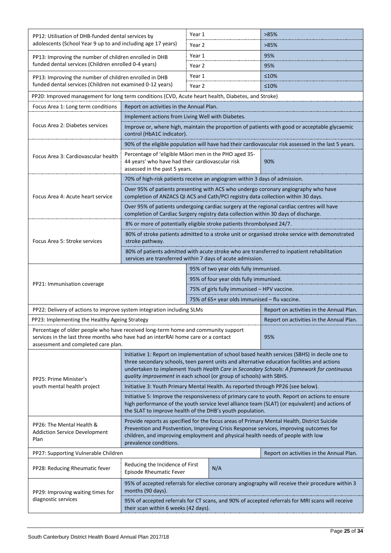| PP12: Utilisation of DHB-funded dental services by                                                                                                                                                                                                                                                                                                                              |                                                                                                                                                                                                                                                                  | Year 1 |                                          | >85%                                                                                                                                                                    |  |
|---------------------------------------------------------------------------------------------------------------------------------------------------------------------------------------------------------------------------------------------------------------------------------------------------------------------------------------------------------------------------------|------------------------------------------------------------------------------------------------------------------------------------------------------------------------------------------------------------------------------------------------------------------|--------|------------------------------------------|-------------------------------------------------------------------------------------------------------------------------------------------------------------------------|--|
| adolescents (School Year 9 up to and including age 17 years)                                                                                                                                                                                                                                                                                                                    |                                                                                                                                                                                                                                                                  | Year 2 |                                          | >85%                                                                                                                                                                    |  |
| PP13: Improving the number of children enrolled in DHB                                                                                                                                                                                                                                                                                                                          |                                                                                                                                                                                                                                                                  | Year 1 |                                          | 95%                                                                                                                                                                     |  |
| funded dental services (Children enrolled 0-4 years)                                                                                                                                                                                                                                                                                                                            |                                                                                                                                                                                                                                                                  | Year 2 |                                          | 95%                                                                                                                                                                     |  |
| PP13: Improving the number of children enrolled in DHB                                                                                                                                                                                                                                                                                                                          |                                                                                                                                                                                                                                                                  | Year 1 |                                          | ≤10%                                                                                                                                                                    |  |
| funded dental services (Children not examined 0-12 years)                                                                                                                                                                                                                                                                                                                       |                                                                                                                                                                                                                                                                  | Year 2 |                                          | ≤10%                                                                                                                                                                    |  |
| PP20: Improved management for long term conditions (CVD, Acute heart health, Diabetes, and Stroke)                                                                                                                                                                                                                                                                              |                                                                                                                                                                                                                                                                  |        |                                          |                                                                                                                                                                         |  |
| Focus Area 1: Long term conditions                                                                                                                                                                                                                                                                                                                                              | Report on activities in the Annual Plan.                                                                                                                                                                                                                         |        |                                          |                                                                                                                                                                         |  |
|                                                                                                                                                                                                                                                                                                                                                                                 | Implement actions from Living Well with Diabetes.                                                                                                                                                                                                                |        |                                          |                                                                                                                                                                         |  |
| Focus Area 2: Diabetes services                                                                                                                                                                                                                                                                                                                                                 | control (HbA1C indicator).                                                                                                                                                                                                                                       |        |                                          | Improve or, where high, maintain the proportion of patients with good or acceptable glycaemic                                                                           |  |
|                                                                                                                                                                                                                                                                                                                                                                                 |                                                                                                                                                                                                                                                                  |        |                                          | 90% of the eligible population will have had their cardiovascular risk assessed in the last 5 years.                                                                    |  |
| Focus Area 3: Cardiovascular health                                                                                                                                                                                                                                                                                                                                             | Percentage of 'eligible Māori men in the PHO aged 35-<br>44 years' who have had their cardiovascular risk<br>assessed in the past 5 years.                                                                                                                       |        | 90%                                      |                                                                                                                                                                         |  |
|                                                                                                                                                                                                                                                                                                                                                                                 | 70% of high-risk patients receive an angiogram within 3 days of admission.                                                                                                                                                                                       |        |                                          |                                                                                                                                                                         |  |
| Focus Area 4: Acute heart service                                                                                                                                                                                                                                                                                                                                               |                                                                                                                                                                                                                                                                  |        |                                          | Over 95% of patients presenting with ACS who undergo coronary angiography who have<br>completion of ANZACS QI ACS and Cath/PCI registry data collection within 30 days. |  |
|                                                                                                                                                                                                                                                                                                                                                                                 | completion of Cardiac Surgery registry data collection within 30 days of discharge.                                                                                                                                                                              |        |                                          | Over 95% of patients undergoing cardiac surgery at the regional cardiac centres will have                                                                               |  |
|                                                                                                                                                                                                                                                                                                                                                                                 | 8% or more of potentially eligible stroke patients thrombolysed 24/7.                                                                                                                                                                                            |        |                                          |                                                                                                                                                                         |  |
| Focus Area 5: Stroke services                                                                                                                                                                                                                                                                                                                                                   | 80% of stroke patients admitted to a stroke unit or organised stroke service with demonstrated<br>stroke pathway.                                                                                                                                                |        |                                          |                                                                                                                                                                         |  |
|                                                                                                                                                                                                                                                                                                                                                                                 | 80% of patients admitted with acute stroke who are transferred to inpatient rehabilitation<br>services are transferred within 7 days of acute admission.                                                                                                         |        |                                          |                                                                                                                                                                         |  |
|                                                                                                                                                                                                                                                                                                                                                                                 |                                                                                                                                                                                                                                                                  |        | 95% of two year olds fully immunised.    |                                                                                                                                                                         |  |
| PP21: Immunisation coverage                                                                                                                                                                                                                                                                                                                                                     | 95% of four year olds fully immunised.                                                                                                                                                                                                                           |        |                                          |                                                                                                                                                                         |  |
|                                                                                                                                                                                                                                                                                                                                                                                 | 75% of girls fully immunised - HPV vaccine.                                                                                                                                                                                                                      |        |                                          |                                                                                                                                                                         |  |
|                                                                                                                                                                                                                                                                                                                                                                                 | 75% of 65+ year olds immunised - flu vaccine.                                                                                                                                                                                                                    |        |                                          |                                                                                                                                                                         |  |
| PP22: Delivery of actions to improve system integration including SLMs                                                                                                                                                                                                                                                                                                          |                                                                                                                                                                                                                                                                  |        | Report on activities in the Annual Plan. |                                                                                                                                                                         |  |
| PP23: Implementing the Healthy Ageing Strategy                                                                                                                                                                                                                                                                                                                                  |                                                                                                                                                                                                                                                                  |        |                                          | Report on activities in the Annual Plan.                                                                                                                                |  |
| Percentage of older people who have received long-term home and community support<br>services in the last three months who have had an interRAI home care or a contact<br>assessment and completed care plan.                                                                                                                                                                   |                                                                                                                                                                                                                                                                  |        |                                          | 95%                                                                                                                                                                     |  |
|                                                                                                                                                                                                                                                                                                                                                                                 |                                                                                                                                                                                                                                                                  |        |                                          | Initiative 1: Report on implementation of school based health services (SBHS) in decile one to                                                                          |  |
| PP25: Prime Minister's                                                                                                                                                                                                                                                                                                                                                          | three secondary schools, teen parent units and alternative education facilities and actions<br>undertaken to implement Youth Health Care in Secondary Schools: A framework for continuous<br>quality improvement in each school (or group of schools) with SBHS. |        |                                          |                                                                                                                                                                         |  |
| youth mental health project                                                                                                                                                                                                                                                                                                                                                     | Initiative 3: Youth Primary Mental Health. As reported through PP26 (see below).                                                                                                                                                                                 |        |                                          |                                                                                                                                                                         |  |
|                                                                                                                                                                                                                                                                                                                                                                                 | Initiative 5: Improve the responsiveness of primary care to youth. Report on actions to ensure<br>high performance of the youth service level alliance team (SLAT) (or equivalent) and actions of<br>the SLAT to improve health of the DHB's youth population.   |        |                                          |                                                                                                                                                                         |  |
| Provide reports as specified for the focus areas of Primary Mental Health, District Suicide<br>PP26: The Mental Health &<br>Prevention and Postvention, Improving Crisis Response services, improving outcomes for<br><b>Addiction Service Development</b><br>children, and improving employment and physical health needs of people with low<br>Plan<br>prevalence conditions. |                                                                                                                                                                                                                                                                  |        |                                          |                                                                                                                                                                         |  |
| PP27: Supporting Vulnerable Children                                                                                                                                                                                                                                                                                                                                            |                                                                                                                                                                                                                                                                  |        |                                          | Report on activities in the Annual Plan.                                                                                                                                |  |
| PP28: Reducing Rheumatic fever                                                                                                                                                                                                                                                                                                                                                  | Reducing the Incidence of First<br>Episode Rheumatic Fever                                                                                                                                                                                                       |        | N/A                                      |                                                                                                                                                                         |  |
| PP29: Improving waiting times for<br>diagnostic services                                                                                                                                                                                                                                                                                                                        | 95% of accepted referrals for elective coronary angiography will receive their procedure within 3<br>months (90 days).<br>95% of accepted referrals for CT scans, and 90% of accepted referrals for MRI scans will receive                                       |        |                                          |                                                                                                                                                                         |  |
|                                                                                                                                                                                                                                                                                                                                                                                 | their scan within 6 weeks (42 days).                                                                                                                                                                                                                             |        |                                          |                                                                                                                                                                         |  |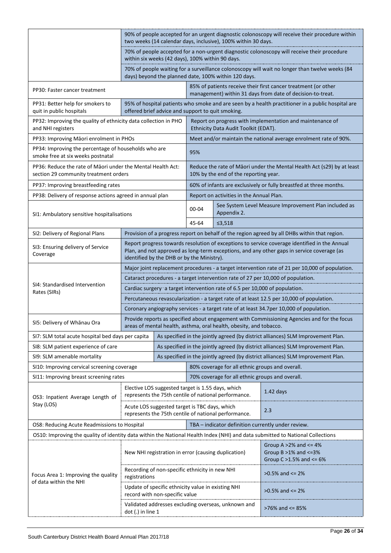|                                                                                                                                | 90% of people accepted for an urgent diagnostic colonoscopy will receive their procedure within<br>two weeks (14 calendar days, inclusive), 100% within 30 days.                                                                          |                                                                                         |                                                                                                                                                                   |                                                                                                              |                                                                                                                              |  |  |
|--------------------------------------------------------------------------------------------------------------------------------|-------------------------------------------------------------------------------------------------------------------------------------------------------------------------------------------------------------------------------------------|-----------------------------------------------------------------------------------------|-------------------------------------------------------------------------------------------------------------------------------------------------------------------|--------------------------------------------------------------------------------------------------------------|------------------------------------------------------------------------------------------------------------------------------|--|--|
|                                                                                                                                |                                                                                                                                                                                                                                           | within six weeks (42 days), 100% within 90 days.                                        |                                                                                                                                                                   |                                                                                                              | 70% of people accepted for a non-urgent diagnostic colonoscopy will receive their procedure                                  |  |  |
|                                                                                                                                |                                                                                                                                                                                                                                           |                                                                                         |                                                                                                                                                                   | days) beyond the planned date, 100% within 120 days.                                                         | 70% of people waiting for a surveillance colonoscopy will wait no longer than twelve weeks (84                               |  |  |
| PP30: Faster cancer treatment                                                                                                  |                                                                                                                                                                                                                                           |                                                                                         |                                                                                                                                                                   |                                                                                                              | 85% of patients receive their first cancer treatment (or other<br>management) within 31 days from date of decision-to-treat. |  |  |
| PP31: Better help for smokers to<br>quit in public hospitals                                                                   |                                                                                                                                                                                                                                           | offered brief advice and support to quit smoking.                                       |                                                                                                                                                                   |                                                                                                              | 95% of hospital patients who smoke and are seen by a health practitioner in a public hospital are                            |  |  |
| PP32: Improving the quality of ethnicity data collection in PHO<br>and NHI registers                                           |                                                                                                                                                                                                                                           |                                                                                         |                                                                                                                                                                   | Ethnicity Data Audit Toolkit (EDAT).                                                                         | Report on progress with implementation and maintenance of                                                                    |  |  |
| PP33: Improving Māori enrolment in PHOs                                                                                        |                                                                                                                                                                                                                                           |                                                                                         |                                                                                                                                                                   |                                                                                                              | Meet and/or maintain the national average enrolment rate of 90%.                                                             |  |  |
| PP34: Improving the percentage of households who are<br>smoke free at six weeks postnatal                                      |                                                                                                                                                                                                                                           |                                                                                         | 95%                                                                                                                                                               |                                                                                                              |                                                                                                                              |  |  |
| PP36: Reduce the rate of Māori under the Mental Health Act:<br>section 29 community treatment orders                           |                                                                                                                                                                                                                                           |                                                                                         |                                                                                                                                                                   | 10% by the end of the reporting year.                                                                        | Reduce the rate of Māori under the Mental Health Act (s29) by at least                                                       |  |  |
| PP37: Improving breastfeeding rates                                                                                            |                                                                                                                                                                                                                                           |                                                                                         |                                                                                                                                                                   |                                                                                                              | 60% of infants are exclusively or fully breastfed at three months.                                                           |  |  |
| PP38: Delivery of response actions agreed in annual plan                                                                       |                                                                                                                                                                                                                                           |                                                                                         |                                                                                                                                                                   | Report on activities in the Annual Plan.                                                                     |                                                                                                                              |  |  |
| SI1: Ambulatory sensitive hospitalisations                                                                                     |                                                                                                                                                                                                                                           |                                                                                         | $00 - 04$                                                                                                                                                         | Appendix 2.                                                                                                  | See System Level Measure Improvement Plan included as                                                                        |  |  |
|                                                                                                                                |                                                                                                                                                                                                                                           |                                                                                         | 45-64                                                                                                                                                             | ≤3,518                                                                                                       |                                                                                                                              |  |  |
| SI2: Delivery of Regional Plans                                                                                                |                                                                                                                                                                                                                                           |                                                                                         |                                                                                                                                                                   | Provision of a progress report on behalf of the region agreed by all DHBs within that region.                |                                                                                                                              |  |  |
| SI3: Ensuring delivery of Service<br>Coverage                                                                                  | Report progress towards resolution of exceptions to service coverage identified in the Annual<br>Plan, and not approved as long-term exceptions, and any other gaps in service coverage (as<br>identified by the DHB or by the Ministry). |                                                                                         |                                                                                                                                                                   |                                                                                                              |                                                                                                                              |  |  |
|                                                                                                                                | Major joint replacement procedures - a target intervention rate of 21 per 10,000 of population.                                                                                                                                           |                                                                                         |                                                                                                                                                                   |                                                                                                              |                                                                                                                              |  |  |
|                                                                                                                                | Cataract procedures - a target intervention rate of 27 per 10,000 of population.                                                                                                                                                          |                                                                                         |                                                                                                                                                                   |                                                                                                              |                                                                                                                              |  |  |
| SI4: Standardised Intervention<br>Rates (SIRs)                                                                                 | Cardiac surgery <sup>-</sup> a target intervention rate of 6.5 per 10,000 of population.                                                                                                                                                  |                                                                                         |                                                                                                                                                                   |                                                                                                              |                                                                                                                              |  |  |
|                                                                                                                                | Percutaneous revascularization - a target rate of at least 12.5 per 10,000 of population.                                                                                                                                                 |                                                                                         |                                                                                                                                                                   |                                                                                                              |                                                                                                                              |  |  |
|                                                                                                                                |                                                                                                                                                                                                                                           | Coronary angiography services - a target rate of at least 34.7per 10,000 of population. |                                                                                                                                                                   |                                                                                                              |                                                                                                                              |  |  |
| SI5: Delivery of Whānau Ora                                                                                                    |                                                                                                                                                                                                                                           |                                                                                         | Provide reports as specified about engagement with Commissioning Agencies and for the focus<br>areas of mental health, asthma, oral health, obesity, and tobacco. |                                                                                                              |                                                                                                                              |  |  |
| SI7: SLM total acute hospital bed days per capita                                                                              |                                                                                                                                                                                                                                           |                                                                                         | As specified in the jointly agreed (by district alliances) SLM Improvement Plan.                                                                                  |                                                                                                              |                                                                                                                              |  |  |
| SI8: SLM patient experience of care                                                                                            |                                                                                                                                                                                                                                           |                                                                                         | As specified in the jointly agreed (by district alliances) SLM Improvement Plan.                                                                                  |                                                                                                              |                                                                                                                              |  |  |
| SI9: SLM amenable mortality                                                                                                    |                                                                                                                                                                                                                                           |                                                                                         | As specified in the jointly agreed (by district alliances) SLM Improvement Plan.                                                                                  |                                                                                                              |                                                                                                                              |  |  |
| SI10: Improving cervical screening coverage                                                                                    |                                                                                                                                                                                                                                           |                                                                                         | 80% coverage for all ethnic groups and overall.                                                                                                                   |                                                                                                              |                                                                                                                              |  |  |
| SI11: Improving breast screening rates                                                                                         |                                                                                                                                                                                                                                           |                                                                                         |                                                                                                                                                                   | 70% coverage for all ethnic groups and overall.                                                              |                                                                                                                              |  |  |
| OS3: Inpatient Average Length of                                                                                               |                                                                                                                                                                                                                                           | Elective LOS suggested target is 1.55 days, which                                       |                                                                                                                                                                   | represents the 75th centile of national performance.                                                         | $1.42$ days                                                                                                                  |  |  |
| Stay (LOS)                                                                                                                     |                                                                                                                                                                                                                                           |                                                                                         |                                                                                                                                                                   | Acute LOS suggested target is TBC days, which<br>2.3<br>represents the 75th centile of national performance. |                                                                                                                              |  |  |
| OS8: Reducing Acute Readmissions to Hospital                                                                                   |                                                                                                                                                                                                                                           |                                                                                         |                                                                                                                                                                   |                                                                                                              | TBA - indicator definition currently under review.                                                                           |  |  |
| OS10: Improving the quality of identity data within the National Health Index (NHI) and data submitted to National Collections |                                                                                                                                                                                                                                           |                                                                                         |                                                                                                                                                                   |                                                                                                              |                                                                                                                              |  |  |
|                                                                                                                                |                                                                                                                                                                                                                                           |                                                                                         | New NHI registration in error (causing duplication)                                                                                                               |                                                                                                              | Group A $>2\%$ and $<=4\%$<br>Group $B > 1\%$ and $\leq 3\%$<br>Group $C > 1.5\%$ and $\le 6\%$                              |  |  |
| Focus Area 1: Improving the quality<br>of data within the NHI                                                                  | registrations                                                                                                                                                                                                                             |                                                                                         | Recording of non-specific ethnicity in new NHI                                                                                                                    |                                                                                                              | $>0.5\%$ and $\leq 2\%$                                                                                                      |  |  |
|                                                                                                                                |                                                                                                                                                                                                                                           | Update of specific ethnicity value in existing NHI<br>record with non-specific value    |                                                                                                                                                                   |                                                                                                              | $>0.5\%$ and $<= 2\%$                                                                                                        |  |  |
|                                                                                                                                | Validated addresses excluding overseas, unknown and<br>$dot(.)$ in line 1                                                                                                                                                                 |                                                                                         | >76% and <= 85%                                                                                                                                                   |                                                                                                              |                                                                                                                              |  |  |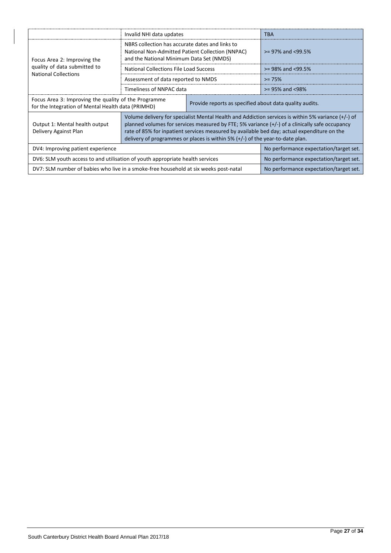|                                                                                                            | Invalid NHI data updates                                                                                                                                                                                                                                                                                                                                                                |                                                         | TBA                                    |  |
|------------------------------------------------------------------------------------------------------------|-----------------------------------------------------------------------------------------------------------------------------------------------------------------------------------------------------------------------------------------------------------------------------------------------------------------------------------------------------------------------------------------|---------------------------------------------------------|----------------------------------------|--|
| Focus Area 2: Improving the                                                                                | NBRS collection has accurate dates and links to<br>National Non-Admitted Patient Collection (NNPAC)<br>and the National Minimum Data Set (NMDS)                                                                                                                                                                                                                                         |                                                         | $> = 97\%$ and $< 99.5\%$              |  |
| quality of data submitted to<br><b>National Collections</b>                                                | <b>National Collections File Load Success</b>                                                                                                                                                                                                                                                                                                                                           |                                                         | $>= 98\%$ and $<99.5\%$                |  |
|                                                                                                            | Assessment of data reported to NMDS                                                                                                                                                                                                                                                                                                                                                     |                                                         | $>= 75%$                               |  |
|                                                                                                            | Timeliness of NNPAC data                                                                                                                                                                                                                                                                                                                                                                |                                                         | $> = 95\%$ and <98%                    |  |
| Focus Area 3: Improving the quality of the Programme<br>for the Integration of Mental Health data (PRIMHD) |                                                                                                                                                                                                                                                                                                                                                                                         | Provide reports as specified about data quality audits. |                                        |  |
| Output 1: Mental health output<br>Delivery Against Plan                                                    | Volume delivery for specialist Mental Health and Addiction services is within 5% variance (+/-) of<br>planned volumes for services measured by FTE; 5% variance (+/-) of a clinically safe occupancy<br>rate of 85% for inpatient services measured by available bed day; actual expenditure on the<br>delivery of programmes or places is within $5\%$ (+/-) of the year-to-date plan. |                                                         |                                        |  |
| DV4: Improving patient experience                                                                          | No performance expectation/target set.                                                                                                                                                                                                                                                                                                                                                  |                                                         |                                        |  |
| DV6: SLM youth access to and utilisation of youth appropriate health services                              |                                                                                                                                                                                                                                                                                                                                                                                         |                                                         | No performance expectation/target set. |  |
|                                                                                                            | DV7: SLM number of babies who live in a smoke-free household at six weeks post-natal                                                                                                                                                                                                                                                                                                    |                                                         |                                        |  |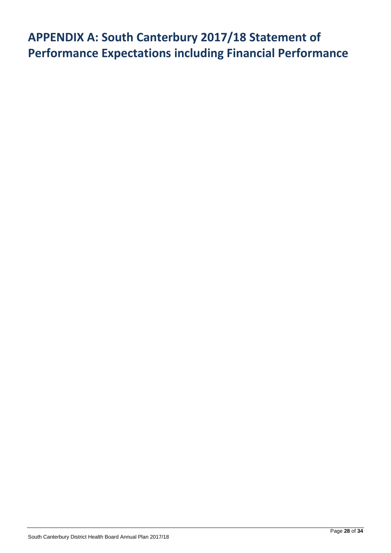# <span id="page-32-0"></span>**APPENDIX A: South Canterbury 2017/18 Statement of Performance Expectations including Financial Performance**